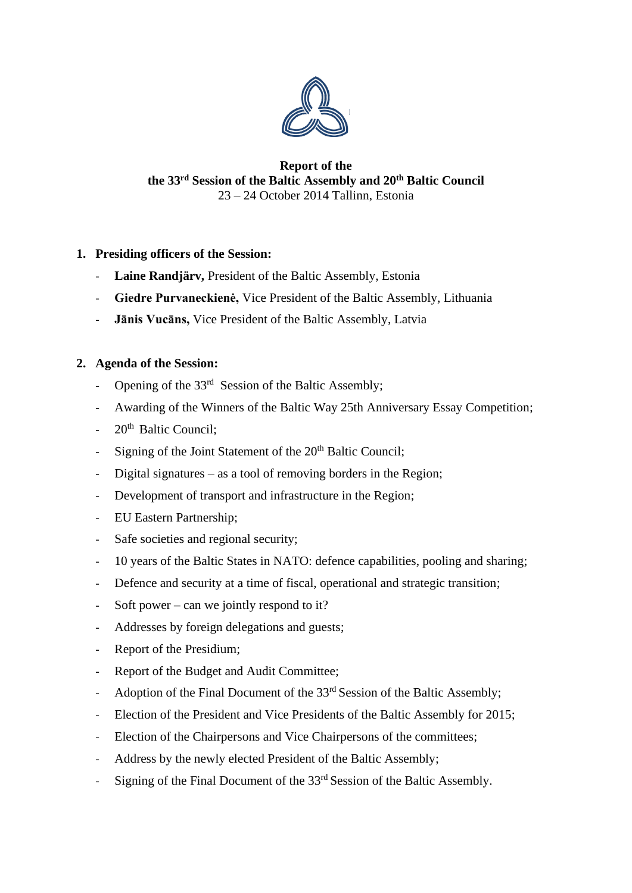

### **Report of the the 33rd Session of the Baltic Assembly and 20th Baltic Council** 23 – 24 October 2014 Tallinn, Estonia

## **1. Presiding officers of the Session:**

- **Laine Randjärv,** President of the Baltic Assembly, Estonia
- **Giedre Purvaneckienė,** Vice President of the Baltic Assembly, Lithuania
- **Jānis Vucāns,** Vice President of the Baltic Assembly, Latvia

## **2. Agenda of the Session:**

- Opening of the  $33<sup>rd</sup>$  Session of the Baltic Assembly;
- Awarding of the Winners of the Baltic Way 25th Anniversary Essay Competition;
- $20<sup>th</sup>$  Baltic Council:
- Signing of the Joint Statement of the  $20<sup>th</sup>$  Baltic Council;
- Digital signatures as a tool of removing borders in the Region;
- Development of transport and infrastructure in the Region;
- EU Eastern Partnership;
- Safe societies and regional security;
- 10 years of the Baltic States in NATO: defence capabilities, pooling and sharing;
- Defence and security at a time of fiscal, operational and strategic transition;
- Soft power can we jointly respond to it?
- Addresses by foreign delegations and guests;
- Report of the Presidium;
- Report of the Budget and Audit Committee;
- Adoption of the Final Document of the 33<sup>rd</sup> Session of the Baltic Assembly;
- Election of the President and Vice Presidents of the Baltic Assembly for 2015;
- Election of the Chairpersons and Vice Chairpersons of the committees;
- Address by the newly elected President of the Baltic Assembly;
- Signing of the Final Document of the 33<sup>rd</sup> Session of the Baltic Assembly.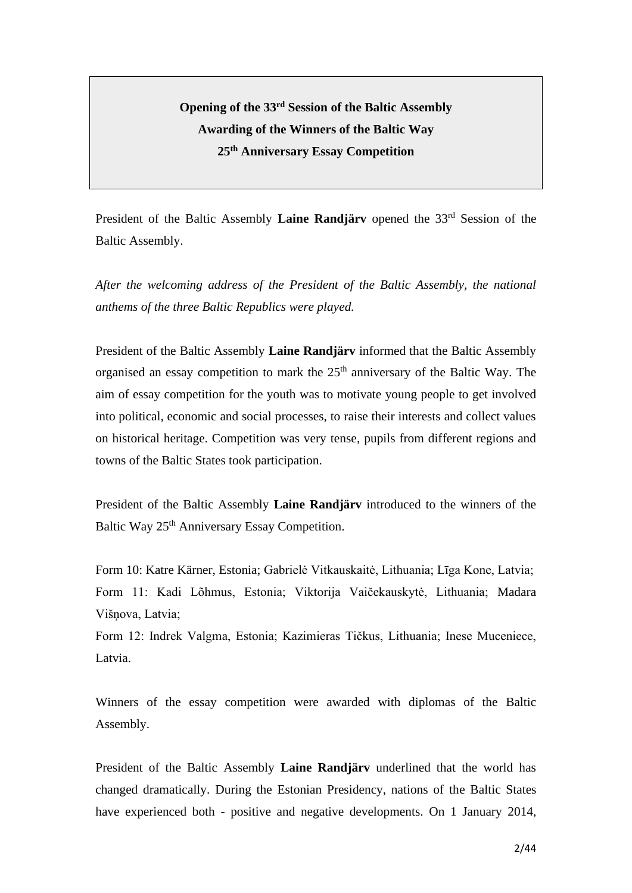# **Opening of the 33rd Session of the Baltic Assembly Awarding of the Winners of the Baltic Way 25th Anniversary Essay Competition**

President of the Baltic Assembly **Laine Randjärv** opened the 33<sup>rd</sup> Session of the Baltic Assembly.

*After the welcoming address of the President of the Baltic Assembly, the national anthems of the three Baltic Republics were played.*

President of the Baltic Assembly **Laine Randjärv** informed that the Baltic Assembly organised an essay competition to mark the  $25<sup>th</sup>$  anniversary of the Baltic Way. The aim of essay competition for the youth was to motivate young people to get involved into political, economic and social processes, to raise their interests and collect values on historical heritage. Competition was very tense, pupils from different regions and towns of the Baltic States took participation.

President of the Baltic Assembly **Laine Randjärv** introduced to the winners of the Baltic Way 25<sup>th</sup> Anniversary Essay Competition.

Form 10: Katre Kärner, Estonia; Gabrielė Vitkauskaitė, Lithuania; Līga Kone, Latvia; Form 11: Kadi Lõhmus, Estonia; Viktorija Vaičekauskytė, Lithuania; Madara Višņova, Latvia;

Form 12: Indrek Valgma, Estonia; Kazimieras Tičkus, Lithuania; Inese Muceniece, Latvia.

Winners of the essay competition were awarded with diplomas of the Baltic Assembly.

President of the Baltic Assembly **Laine Randjärv** underlined that the world has changed dramatically. During the Estonian Presidency, nations of the Baltic States have experienced both - positive and negative developments. On 1 January 2014,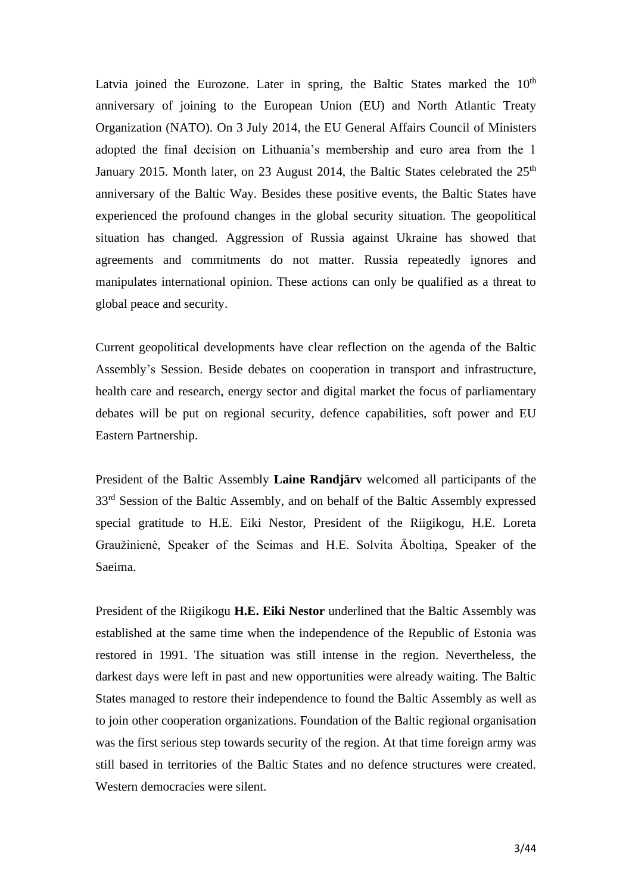Latvia joined the Eurozone. Later in spring, the Baltic States marked the  $10<sup>th</sup>$ anniversary of joining to the European Union (EU) and North Atlantic Treaty Organization (NATO). On 3 July 2014, the EU General Affairs Council of Ministers adopted the final decision on Lithuania's membership and euro area from the 1 January 2015. Month later, on 23 August 2014, the Baltic States celebrated the 25<sup>th</sup> anniversary of the Baltic Way. Besides these positive events, the Baltic States have experienced the profound changes in the global security situation. The geopolitical situation has changed. Aggression of Russia against Ukraine has showed that agreements and commitments do not matter. Russia repeatedly ignores and manipulates international opinion. These actions can only be qualified as a threat to global peace and security.

Current geopolitical developments have clear reflection on the agenda of the Baltic Assembly's Session. Beside debates on cooperation in transport and infrastructure, health care and research, energy sector and digital market the focus of parliamentary debates will be put on regional security, defence capabilities, soft power and EU Eastern Partnership.

President of the Baltic Assembly **Laine Randjärv** welcomed all participants of the 33<sup>rd</sup> Session of the Baltic Assembly, and on behalf of the Baltic Assembly expressed special gratitude to H.E. Eiki Nestor, President of the Riigikogu, H.E. Loreta Graužinienė, Speaker of the Seimas and H.E. Solvita Āboltiņa, Speaker of the Saeima.

President of the Riigikogu **H.E. Eiki Nestor** underlined that the Baltic Assembly was established at the same time when the independence of the Republic of Estonia was restored in 1991. The situation was still intense in the region. Nevertheless, the darkest days were left in past and new opportunities were already waiting. The Baltic States managed to restore their independence to found the Baltic Assembly as well as to join other cooperation organizations. Foundation of the Baltic regional organisation was the first serious step towards security of the region. At that time foreign army was still based in territories of the Baltic States and no defence structures were created. Western democracies were silent.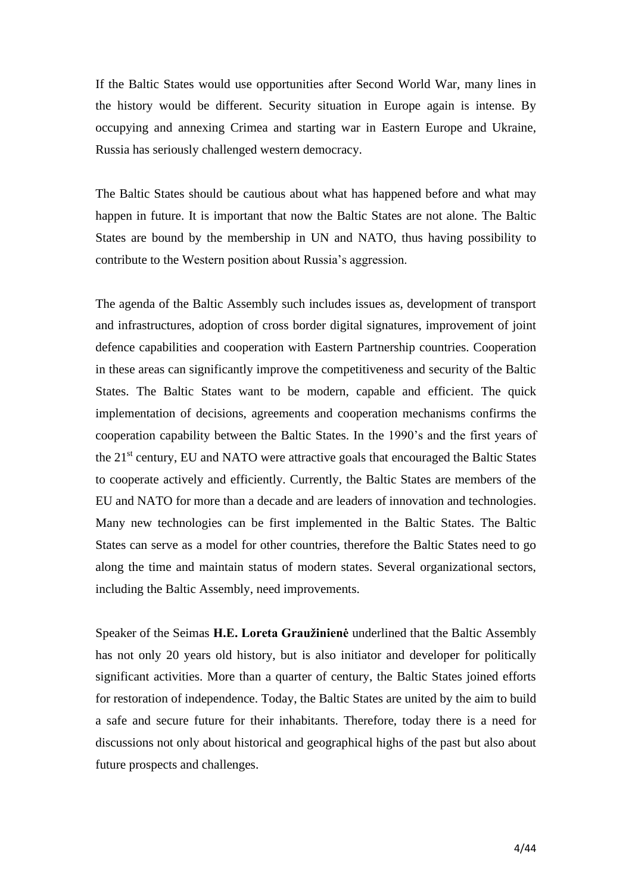If the Baltic States would use opportunities after Second World War, many lines in the history would be different. Security situation in Europe again is intense. By occupying and annexing Crimea and starting war in Eastern Europe and Ukraine, Russia has seriously challenged western democracy.

The Baltic States should be cautious about what has happened before and what may happen in future. It is important that now the Baltic States are not alone. The Baltic States are bound by the membership in UN and NATO, thus having possibility to contribute to the Western position about Russia's aggression.

The agenda of the Baltic Assembly such includes issues as, development of transport and infrastructures, adoption of cross border digital signatures, improvement of joint defence capabilities and cooperation with Eastern Partnership countries. Cooperation in these areas can significantly improve the competitiveness and security of the Baltic States. The Baltic States want to be modern, capable and efficient. The quick implementation of decisions, agreements and cooperation mechanisms confirms the cooperation capability between the Baltic States. In the 1990's and the first years of the 21<sup>st</sup> century, EU and NATO were attractive goals that encouraged the Baltic States to cooperate actively and efficiently. Currently, the Baltic States are members of the EU and NATO for more than a decade and are leaders of innovation and technologies. Many new technologies can be first implemented in the Baltic States. The Baltic States can serve as a model for other countries, therefore the Baltic States need to go along the time and maintain status of modern states. Several organizational sectors, including the Baltic Assembly, need improvements.

Speaker of the Seimas **H.E. Loreta Graužinienė** underlined that the Baltic Assembly has not only 20 years old history, but is also initiator and developer for politically significant activities. More than a quarter of century, the Baltic States joined efforts for restoration of independence. Today, the Baltic States are united by the aim to build a safe and secure future for their inhabitants. Therefore, today there is a need for discussions not only about historical and geographical highs of the past but also about future prospects and challenges.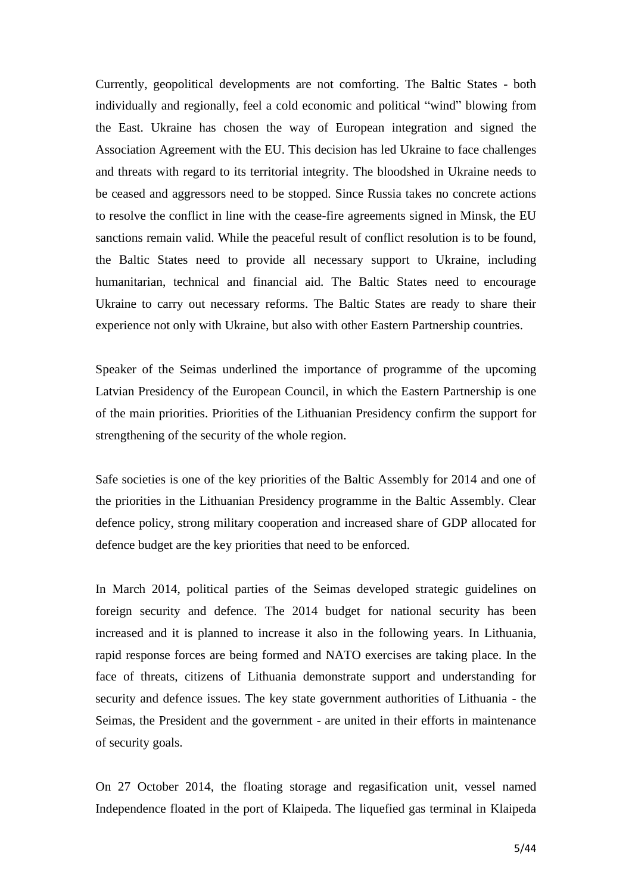Currently, geopolitical developments are not comforting. The Baltic States - both individually and regionally, feel a cold economic and political "wind" blowing from the East. Ukraine has chosen the way of European integration and signed the Association Agreement with the EU. This decision has led Ukraine to face challenges and threats with regard to its territorial integrity. The bloodshed in Ukraine needs to be ceased and aggressors need to be stopped. Since Russia takes no concrete actions to resolve the conflict in line with the cease-fire agreements signed in Minsk, the EU sanctions remain valid. While the peaceful result of conflict resolution is to be found, the Baltic States need to provide all necessary support to Ukraine, including humanitarian, technical and financial aid. The Baltic States need to encourage Ukraine to carry out necessary reforms. The Baltic States are ready to share their experience not only with Ukraine, but also with other Eastern Partnership countries.

Speaker of the Seimas underlined the importance of programme of the upcoming Latvian Presidency of the European Council, in which the Eastern Partnership is one of the main priorities. Priorities of the Lithuanian Presidency confirm the support for strengthening of the security of the whole region.

Safe societies is one of the key priorities of the Baltic Assembly for 2014 and one of the priorities in the Lithuanian Presidency programme in the Baltic Assembly. Clear defence policy, strong military cooperation and increased share of GDP allocated for defence budget are the key priorities that need to be enforced.

In March 2014, political parties of the Seimas developed strategic guidelines on foreign security and defence. The 2014 budget for national security has been increased and it is planned to increase it also in the following years. In Lithuania, rapid response forces are being formed and NATO exercises are taking place. In the face of threats, citizens of Lithuania demonstrate support and understanding for security and defence issues. The key state government authorities of Lithuania - the Seimas, the President and the government - are united in their efforts in maintenance of security goals.

On 27 October 2014, the floating storage and regasification unit, vessel named Independence floated in the port of Klaipeda. The liquefied gas terminal in Klaipeda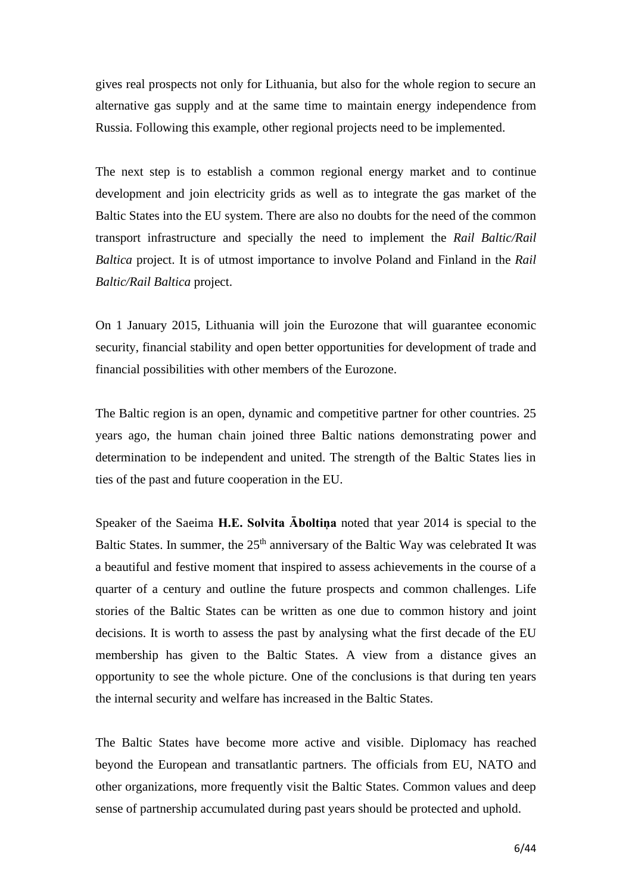gives real prospects not only for Lithuania, but also for the whole region to secure an alternative gas supply and at the same time to maintain energy independence from Russia. Following this example, other regional projects need to be implemented.

The next step is to establish a common regional energy market and to continue development and join electricity grids as well as to integrate the gas market of the Baltic States into the EU system. There are also no doubts for the need of the common transport infrastructure and specially the need to implement the *Rail Baltic/Rail Baltica* project. It is of utmost importance to involve Poland and Finland in the *Rail Baltic/Rail Baltica* project.

On 1 January 2015, Lithuania will join the Eurozone that will guarantee economic security, financial stability and open better opportunities for development of trade and financial possibilities with other members of the Eurozone.

The Baltic region is an open, dynamic and competitive partner for other countries. 25 years ago, the human chain joined three Baltic nations demonstrating power and determination to be independent and united. The strength of the Baltic States lies in ties of the past and future cooperation in the EU.

Speaker of the Saeima **H.E. Solvita Āboltiņa** noted that year 2014 is special to the Baltic States. In summer, the  $25<sup>th</sup>$  anniversary of the Baltic Way was celebrated It was a beautiful and festive moment that inspired to assess achievements in the course of a quarter of a century and outline the future prospects and common challenges. Life stories of the Baltic States can be written as one due to common history and joint decisions. It is worth to assess the past by analysing what the first decade of the EU membership has given to the Baltic States. A view from a distance gives an opportunity to see the whole picture. One of the conclusions is that during ten years the internal security and welfare has increased in the Baltic States.

The Baltic States have become more active and visible. Diplomacy has reached beyond the European and transatlantic partners. The officials from EU, NATO and other organizations, more frequently visit the Baltic States. Common values and deep sense of partnership accumulated during past years should be protected and uphold.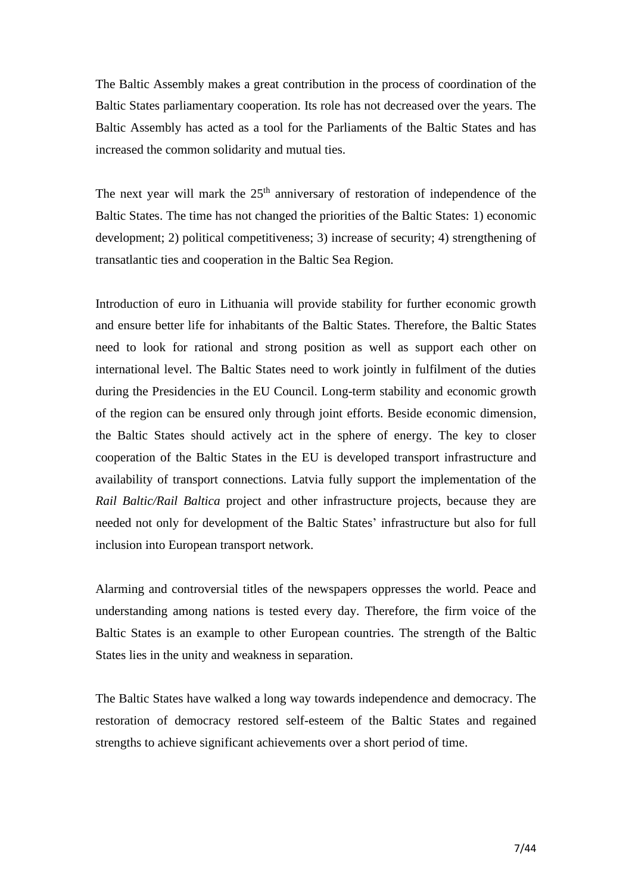The Baltic Assembly makes a great contribution in the process of coordination of the Baltic States parliamentary cooperation. Its role has not decreased over the years. The Baltic Assembly has acted as a tool for the Parliaments of the Baltic States and has increased the common solidarity and mutual ties.

The next year will mark the  $25<sup>th</sup>$  anniversary of restoration of independence of the Baltic States. The time has not changed the priorities of the Baltic States: 1) economic development; 2) political competitiveness; 3) increase of security; 4) strengthening of transatlantic ties and cooperation in the Baltic Sea Region.

Introduction of euro in Lithuania will provide stability for further economic growth and ensure better life for inhabitants of the Baltic States. Therefore, the Baltic States need to look for rational and strong position as well as support each other on international level. The Baltic States need to work jointly in fulfilment of the duties during the Presidencies in the EU Council. Long-term stability and economic growth of the region can be ensured only through joint efforts. Beside economic dimension, the Baltic States should actively act in the sphere of energy. The key to closer cooperation of the Baltic States in the EU is developed transport infrastructure and availability of transport connections. Latvia fully support the implementation of the *Rail Baltic/Rail Baltica* project and other infrastructure projects, because they are needed not only for development of the Baltic States' infrastructure but also for full inclusion into European transport network.

Alarming and controversial titles of the newspapers oppresses the world. Peace and understanding among nations is tested every day. Therefore, the firm voice of the Baltic States is an example to other European countries. The strength of the Baltic States lies in the unity and weakness in separation.

The Baltic States have walked a long way towards independence and democracy. The restoration of democracy restored self-esteem of the Baltic States and regained strengths to achieve significant achievements over a short period of time.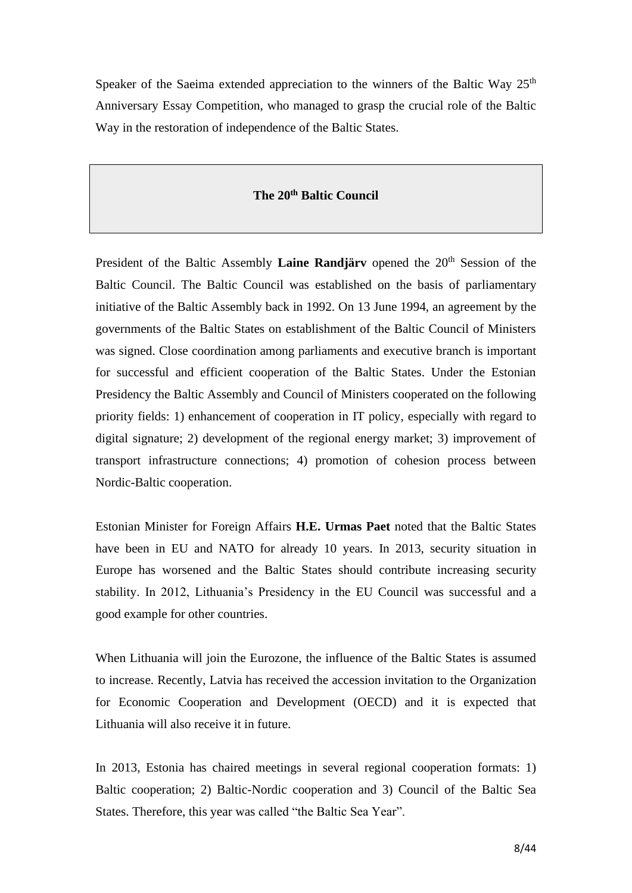Speaker of the Saeima extended appreciation to the winners of the Baltic Way  $25<sup>th</sup>$ Anniversary Essay Competition, who managed to grasp the crucial role of the Baltic Way in the restoration of independence of the Baltic States.

### **The 20th Baltic Council**

President of the Baltic Assembly **Laine Randjärv** opened the 20<sup>th</sup> Session of the Baltic Council. The Baltic Council was established on the basis of parliamentary initiative of the Baltic Assembly back in 1992. On 13 June 1994, an agreement by the governments of the Baltic States on establishment of the Baltic Council of Ministers was signed. Close coordination among parliaments and executive branch is important for successful and efficient cooperation of the Baltic States. Under the Estonian Presidency the Baltic Assembly and Council of Ministers cooperated on the following priority fields: 1) enhancement of cooperation in IT policy, especially with regard to digital signature; 2) development of the regional energy market; 3) improvement of transport infrastructure connections; 4) promotion of cohesion process between Nordic-Baltic cooperation.

Estonian Minister for Foreign Affairs **H.E. Urmas Paet** noted that the Baltic States have been in EU and NATO for already 10 years. In 2013, security situation in Europe has worsened and the Baltic States should contribute increasing security stability. In 2012, Lithuania's Presidency in the EU Council was successful and a good example for other countries.

When Lithuania will join the Eurozone, the influence of the Baltic States is assumed to increase. Recently, Latvia has received the accession invitation to the Organization for Economic Cooperation and Development (OECD) and it is expected that Lithuania will also receive it in future.

In 2013, Estonia has chaired meetings in several regional cooperation formats: 1) Baltic cooperation; 2) Baltic-Nordic cooperation and 3) Council of the Baltic Sea States. Therefore, this year was called "the Baltic Sea Year".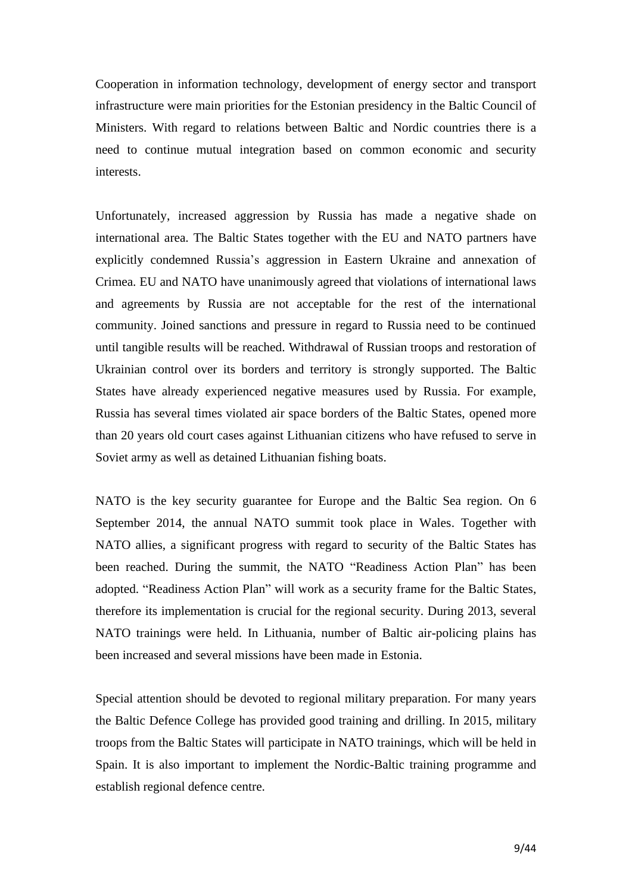Cooperation in information technology, development of energy sector and transport infrastructure were main priorities for the Estonian presidency in the Baltic Council of Ministers. With regard to relations between Baltic and Nordic countries there is a need to continue mutual integration based on common economic and security interests.

Unfortunately, increased aggression by Russia has made a negative shade on international area. The Baltic States together with the EU and NATO partners have explicitly condemned Russia's aggression in Eastern Ukraine and annexation of Crimea. EU and NATO have unanimously agreed that violations of international laws and agreements by Russia are not acceptable for the rest of the international community. Joined sanctions and pressure in regard to Russia need to be continued until tangible results will be reached. Withdrawal of Russian troops and restoration of Ukrainian control over its borders and territory is strongly supported. The Baltic States have already experienced negative measures used by Russia. For example, Russia has several times violated air space borders of the Baltic States, opened more than 20 years old court cases against Lithuanian citizens who have refused to serve in Soviet army as well as detained Lithuanian fishing boats.

NATO is the key security guarantee for Europe and the Baltic Sea region. On 6 September 2014, the annual NATO summit took place in Wales. Together with NATO allies, a significant progress with regard to security of the Baltic States has been reached. During the summit, the NATO "Readiness Action Plan" has been adopted. "Readiness Action Plan" will work as a security frame for the Baltic States, therefore its implementation is crucial for the regional security. During 2013, several NATO trainings were held. In Lithuania, number of Baltic air-policing plains has been increased and several missions have been made in Estonia.

Special attention should be devoted to regional military preparation. For many years the Baltic Defence College has provided good training and drilling. In 2015, military troops from the Baltic States will participate in NATO trainings, which will be held in Spain. It is also important to implement the Nordic-Baltic training programme and establish regional defence centre.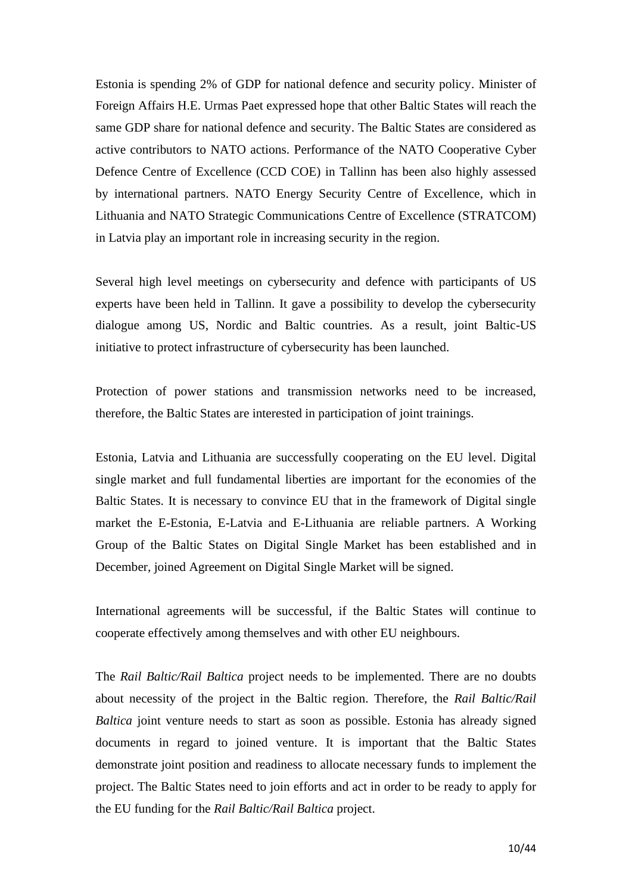Estonia is spending 2% of GDP for national defence and security policy. Minister of Foreign Affairs H.E. Urmas Paet expressed hope that other Baltic States will reach the same GDP share for national defence and security. The Baltic States are considered as active contributors to NATO actions. Performance of the NATO Cooperative Cyber Defence Centre of Excellence (CCD COE) in Tallinn has been also highly assessed by international partners. NATO Energy Security Centre of Excellence, which in Lithuania and NATO Strategic Communications Centre of Excellence (STRATCOM) in Latvia play an important role in increasing security in the region.

Several high level meetings on cybersecurity and defence with participants of US experts have been held in Tallinn. It gave a possibility to develop the cybersecurity dialogue among US, Nordic and Baltic countries. As a result, joint Baltic-US initiative to protect infrastructure of cybersecurity has been launched.

Protection of power stations and transmission networks need to be increased, therefore, the Baltic States are interested in participation of joint trainings.

Estonia, Latvia and Lithuania are successfully cooperating on the EU level. Digital single market and full fundamental liberties are important for the economies of the Baltic States. It is necessary to convince EU that in the framework of Digital single market the E-Estonia, E-Latvia and E-Lithuania are reliable partners. A Working Group of the Baltic States on Digital Single Market has been established and in December, joined Agreement on Digital Single Market will be signed.

International agreements will be successful, if the Baltic States will continue to cooperate effectively among themselves and with other EU neighbours.

The *Rail Baltic/Rail Baltica* project needs to be implemented. There are no doubts about necessity of the project in the Baltic region. Therefore, the *Rail Baltic/Rail Baltica* joint venture needs to start as soon as possible. Estonia has already signed documents in regard to joined venture. It is important that the Baltic States demonstrate joint position and readiness to allocate necessary funds to implement the project. The Baltic States need to join efforts and act in order to be ready to apply for the EU funding for the *Rail Baltic/Rail Baltica* project.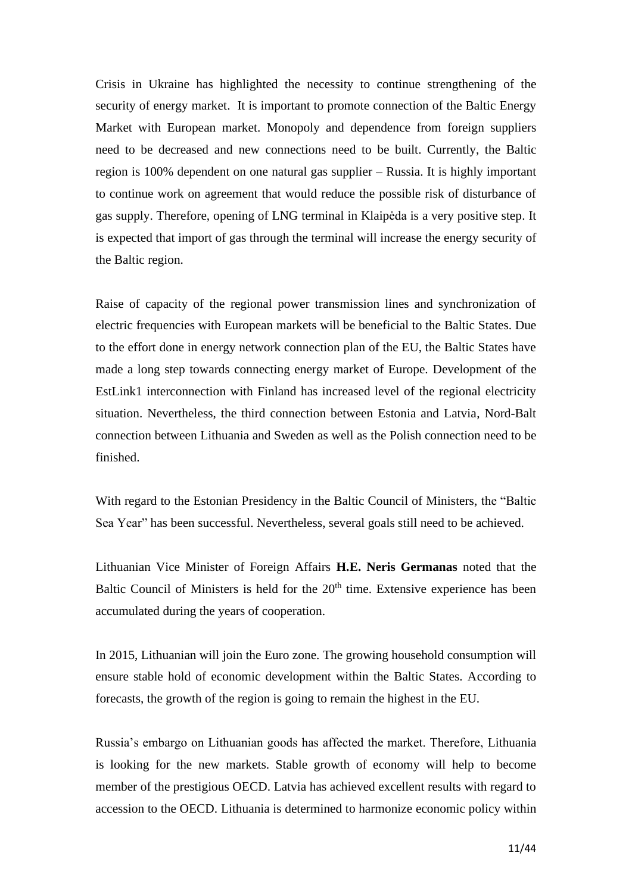Crisis in Ukraine has highlighted the necessity to continue strengthening of the security of energy market. It is important to promote connection of the Baltic Energy Market with European market. Monopoly and dependence from foreign suppliers need to be decreased and new connections need to be built. Currently, the Baltic region is 100% dependent on one natural gas supplier – Russia. It is highly important to continue work on agreement that would reduce the possible risk of disturbance of gas supply. Therefore, opening of LNG terminal in Klaipėda is a very positive step. It is expected that import of gas through the terminal will increase the energy security of the Baltic region.

Raise of capacity of the regional power transmission lines and synchronization of electric frequencies with European markets will be beneficial to the Baltic States. Due to the effort done in energy network connection plan of the EU, the Baltic States have made a long step towards connecting energy market of Europe. Development of the EstLink1 interconnection with Finland has increased level of the regional electricity situation. Nevertheless, the third connection between Estonia and Latvia, Nord-Balt connection between Lithuania and Sweden as well as the Polish connection need to be finished.

With regard to the Estonian Presidency in the Baltic Council of Ministers, the "Baltic Sea Year" has been successful. Nevertheless, several goals still need to be achieved.

Lithuanian Vice Minister of Foreign Affairs **H.E. Neris Germanas** noted that the Baltic Council of Ministers is held for the  $20<sup>th</sup>$  time. Extensive experience has been accumulated during the years of cooperation.

In 2015, Lithuanian will join the Euro zone. The growing household consumption will ensure stable hold of economic development within the Baltic States. According to forecasts, the growth of the region is going to remain the highest in the EU.

Russia's embargo on Lithuanian goods has affected the market. Therefore, Lithuania is looking for the new markets. Stable growth of economy will help to become member of the prestigious OECD. Latvia has achieved excellent results with regard to accession to the OECD. Lithuania is determined to harmonize economic policy within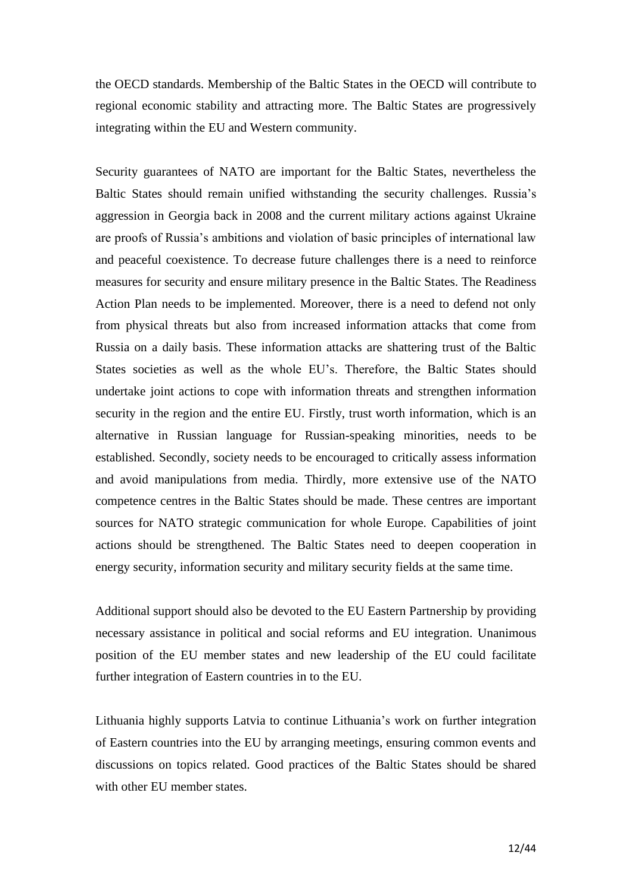the OECD standards. Membership of the Baltic States in the OECD will contribute to regional economic stability and attracting more. The Baltic States are progressively integrating within the EU and Western community.

Security guarantees of NATO are important for the Baltic States, nevertheless the Baltic States should remain unified withstanding the security challenges. Russia's aggression in Georgia back in 2008 and the current military actions against Ukraine are proofs of Russia's ambitions and violation of basic principles of international law and peaceful coexistence. To decrease future challenges there is a need to reinforce measures for security and ensure military presence in the Baltic States. The Readiness Action Plan needs to be implemented. Moreover, there is a need to defend not only from physical threats but also from increased information attacks that come from Russia on a daily basis. These information attacks are shattering trust of the Baltic States societies as well as the whole EU's. Therefore, the Baltic States should undertake joint actions to cope with information threats and strengthen information security in the region and the entire EU. Firstly, trust worth information, which is an alternative in Russian language for Russian-speaking minorities, needs to be established. Secondly, society needs to be encouraged to critically assess information and avoid manipulations from media. Thirdly, more extensive use of the NATO competence centres in the Baltic States should be made. These centres are important sources for NATO strategic communication for whole Europe. Capabilities of joint actions should be strengthened. The Baltic States need to deepen cooperation in energy security, information security and military security fields at the same time.

Additional support should also be devoted to the EU Eastern Partnership by providing necessary assistance in political and social reforms and EU integration. Unanimous position of the EU member states and new leadership of the EU could facilitate further integration of Eastern countries in to the EU.

Lithuania highly supports Latvia to continue Lithuania's work on further integration of Eastern countries into the EU by arranging meetings, ensuring common events and discussions on topics related. Good practices of the Baltic States should be shared with other EU member states.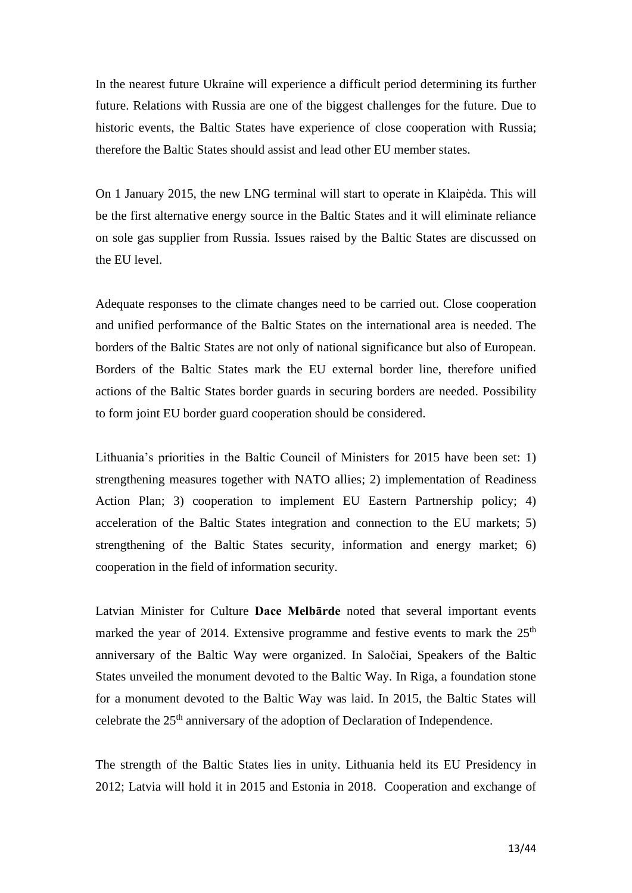In the nearest future Ukraine will experience a difficult period determining its further future. Relations with Russia are one of the biggest challenges for the future. Due to historic events, the Baltic States have experience of close cooperation with Russia; therefore the Baltic States should assist and lead other EU member states.

On 1 January 2015, the new LNG terminal will start to operate in Klaipėda. This will be the first alternative energy source in the Baltic States and it will eliminate reliance on sole gas supplier from Russia. Issues raised by the Baltic States are discussed on the EU level.

Adequate responses to the climate changes need to be carried out. Close cooperation and unified performance of the Baltic States on the international area is needed. The borders of the Baltic States are not only of national significance but also of European. Borders of the Baltic States mark the EU external border line, therefore unified actions of the Baltic States border guards in securing borders are needed. Possibility to form joint EU border guard cooperation should be considered.

Lithuania's priorities in the Baltic Council of Ministers for 2015 have been set: 1) strengthening measures together with NATO allies; 2) implementation of Readiness Action Plan; 3) cooperation to implement EU Eastern Partnership policy; 4) acceleration of the Baltic States integration and connection to the EU markets; 5) strengthening of the Baltic States security, information and energy market; 6) cooperation in the field of information security.

Latvian Minister for Culture **Dace Melbārde** noted that several important events marked the year of 2014. Extensive programme and festive events to mark the  $25<sup>th</sup>$ anniversary of the Baltic Way were organized. In Saločiai, Speakers of the Baltic States unveiled the monument devoted to the Baltic Way. In Riga, a foundation stone for a monument devoted to the Baltic Way was laid. In 2015, the Baltic States will celebrate the 25th anniversary of the adoption of Declaration of Independence.

The strength of the Baltic States lies in unity. Lithuania held its EU Presidency in 2012; Latvia will hold it in 2015 and Estonia in 2018. Cooperation and exchange of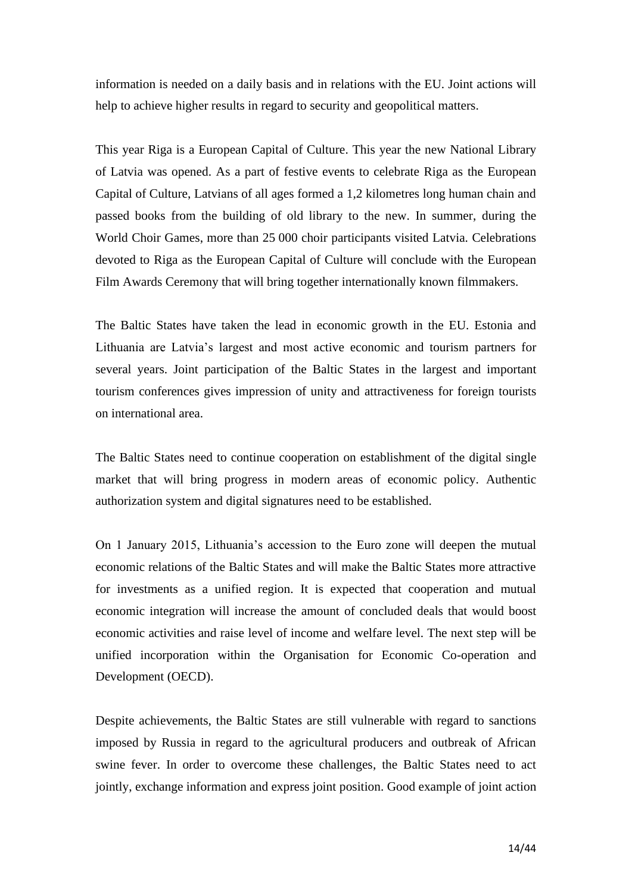information is needed on a daily basis and in relations with the EU. Joint actions will help to achieve higher results in regard to security and geopolitical matters.

This year Riga is a European Capital of Culture. This year the new National Library of Latvia was opened. As a part of festive events to celebrate Riga as the European Capital of Culture, Latvians of all ages formed a 1,2 kilometres long human chain and passed books from the building of old library to the new. In summer, during the World Choir Games, more than 25 000 choir participants visited Latvia. Celebrations devoted to Riga as the European Capital of Culture will conclude with the European Film Awards Ceremony that will bring together internationally known filmmakers.

The Baltic States have taken the lead in economic growth in the EU. Estonia and Lithuania are Latvia's largest and most active economic and tourism partners for several years. Joint participation of the Baltic States in the largest and important tourism conferences gives impression of unity and attractiveness for foreign tourists on international area.

The Baltic States need to continue cooperation on establishment of the digital single market that will bring progress in modern areas of economic policy. Authentic authorization system and digital signatures need to be established.

On 1 January 2015, Lithuania's accession to the Euro zone will deepen the mutual economic relations of the Baltic States and will make the Baltic States more attractive for investments as a unified region. It is expected that cooperation and mutual economic integration will increase the amount of concluded deals that would boost economic activities and raise level of income and welfare level. The next step will be unified incorporation within the Organisation for Economic Co-operation and Development (OECD).

Despite achievements, the Baltic States are still vulnerable with regard to sanctions imposed by Russia in regard to the agricultural producers and outbreak of African swine fever. In order to overcome these challenges, the Baltic States need to act jointly, exchange information and express joint position. Good example of joint action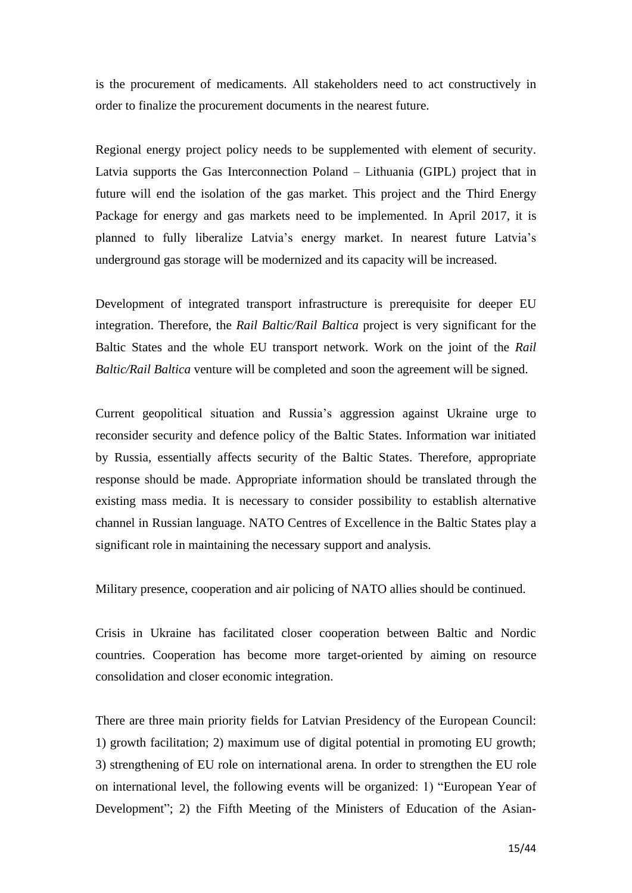is the procurement of medicaments. All stakeholders need to act constructively in order to finalize the procurement documents in the nearest future.

Regional energy project policy needs to be supplemented with element of security. Latvia supports the Gas Interconnection Poland – Lithuania (GIPL) project that in future will end the isolation of the gas market. This project and the Third Energy Package for energy and gas markets need to be implemented. In April 2017, it is planned to fully liberalize Latvia's energy market. In nearest future Latvia's underground gas storage will be modernized and its capacity will be increased.

Development of integrated transport infrastructure is prerequisite for deeper EU integration. Therefore, the *Rail Baltic/Rail Baltica* project is very significant for the Baltic States and the whole EU transport network. Work on the joint of the *Rail Baltic/Rail Baltica* venture will be completed and soon the agreement will be signed.

Current geopolitical situation and Russia's aggression against Ukraine urge to reconsider security and defence policy of the Baltic States. Information war initiated by Russia, essentially affects security of the Baltic States. Therefore, appropriate response should be made. Appropriate information should be translated through the existing mass media. It is necessary to consider possibility to establish alternative channel in Russian language. NATO Centres of Excellence in the Baltic States play a significant role in maintaining the necessary support and analysis.

Military presence, cooperation and air policing of NATO allies should be continued.

Crisis in Ukraine has facilitated closer cooperation between Baltic and Nordic countries. Cooperation has become more target-oriented by aiming on resource consolidation and closer economic integration.

There are three main priority fields for Latvian Presidency of the European Council: 1) growth facilitation; 2) maximum use of digital potential in promoting EU growth; 3) strengthening of EU role on international arena. In order to strengthen the EU role on international level, the following events will be organized: 1) "European Year of Development"; 2) the Fifth Meeting of the Ministers of Education of the Asian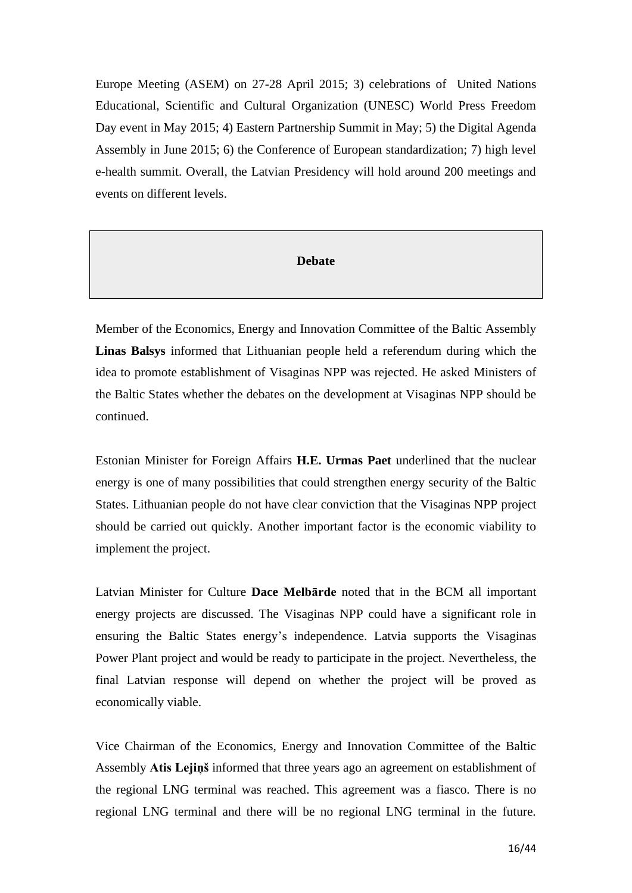Europe Meeting (ASEM) on 27-28 April 2015; 3) celebrations of United Nations Educational, Scientific and Cultural Organization (UNESC) World Press Freedom Day event in May 2015; 4) Eastern Partnership Summit in May; 5) the Digital Agenda Assembly in June 2015; 6) the Conference of European standardization; 7) high level e-health summit. Overall, the Latvian Presidency will hold around 200 meetings and events on different levels.

#### **Debate**

Member of the Economics, Energy and Innovation Committee of the Baltic Assembly **Linas Balsys** informed that Lithuanian people held a referendum during which the idea to promote establishment of Visaginas NPP was rejected. He asked Ministers of the Baltic States whether the debates on the development at Visaginas NPP should be continued.

Estonian Minister for Foreign Affairs **H.E. Urmas Paet** underlined that the nuclear energy is one of many possibilities that could strengthen energy security of the Baltic States. Lithuanian people do not have clear conviction that the Visaginas NPP project should be carried out quickly. Another important factor is the economic viability to implement the project.

Latvian Minister for Culture **Dace Melbārde** noted that in the BCM all important energy projects are discussed. The Visaginas NPP could have a significant role in ensuring the Baltic States energy's independence. Latvia supports the Visaginas Power Plant project and would be ready to participate in the project. Nevertheless, the final Latvian response will depend on whether the project will be proved as economically viable.

Vice Chairman of the Economics, Energy and Innovation Committee of the Baltic Assembly **Atis Lejiņš** informed that three years ago an agreement on establishment of the regional LNG terminal was reached. This agreement was a fiasco. There is no regional LNG terminal and there will be no regional LNG terminal in the future.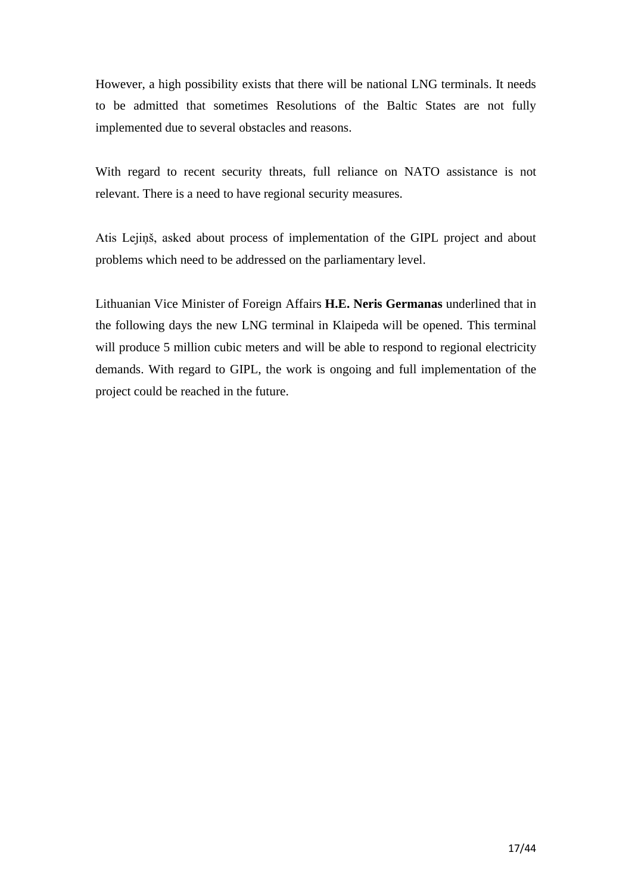However, a high possibility exists that there will be national LNG terminals. It needs to be admitted that sometimes Resolutions of the Baltic States are not fully implemented due to several obstacles and reasons.

With regard to recent security threats, full reliance on NATO assistance is not relevant. There is a need to have regional security measures.

Atis Lejiņš, asked about process of implementation of the GIPL project and about problems which need to be addressed on the parliamentary level.

Lithuanian Vice Minister of Foreign Affairs **H.E. Neris Germanas** underlined that in the following days the new LNG terminal in Klaipeda will be opened. This terminal will produce 5 million cubic meters and will be able to respond to regional electricity demands. With regard to GIPL, the work is ongoing and full implementation of the project could be reached in the future.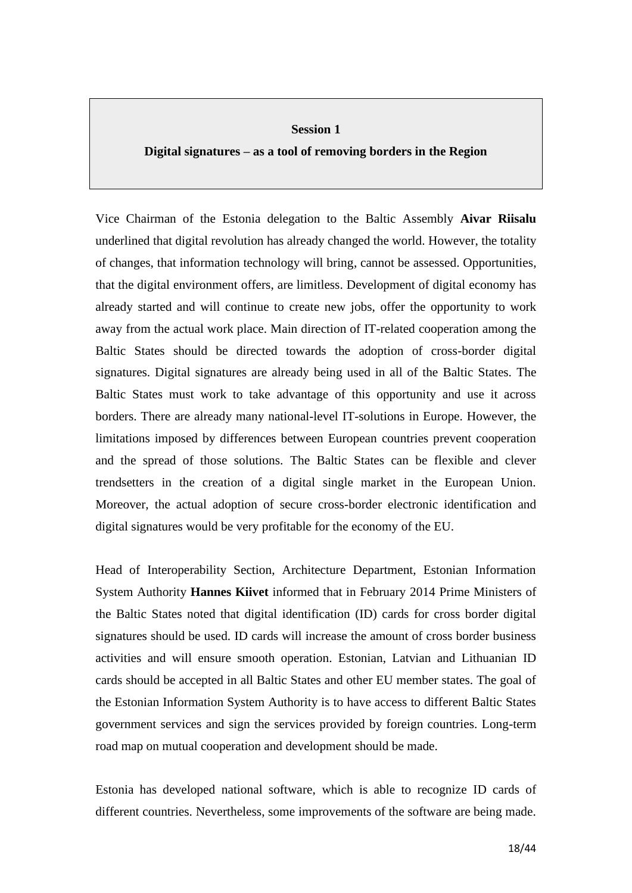#### **Session 1**

**Digital signatures – as a tool of removing borders in the Region**

Vice Chairman of the Estonia delegation to the Baltic Assembly **Aivar Riisalu**  underlined that digital revolution has already changed the world. However, the totality of changes, that information technology will bring, cannot be assessed. Opportunities, that the digital environment offers, are limitless. Development of digital economy has already started and will continue to create new jobs, offer the opportunity to work away from the actual work place. Main direction of IT-related cooperation among the Baltic States should be directed towards the adoption of cross-border digital signatures. Digital signatures are already being used in all of the Baltic States. The Baltic States must work to take advantage of this opportunity and use it across borders. There are already many national-level IT-solutions in Europe. However, the limitations imposed by differences between European countries prevent cooperation and the spread of those solutions. The Baltic States can be flexible and clever trendsetters in the creation of a digital single market in the European Union. Moreover, the actual adoption of secure cross-border electronic identification and digital signatures would be very profitable for the economy of the EU.

Head of Interoperability Section, Architecture Department, Estonian Information System Authority **Hannes Kiivet** informed that in February 2014 Prime Ministers of the Baltic States noted that digital identification (ID) cards for cross border digital signatures should be used. ID cards will increase the amount of cross border business activities and will ensure smooth operation. Estonian, Latvian and Lithuanian ID cards should be accepted in all Baltic States and other EU member states. The goal of the Estonian Information System Authority is to have access to different Baltic States government services and sign the services provided by foreign countries. Long-term road map on mutual cooperation and development should be made.

Estonia has developed national software, which is able to recognize ID cards of different countries. Nevertheless, some improvements of the software are being made.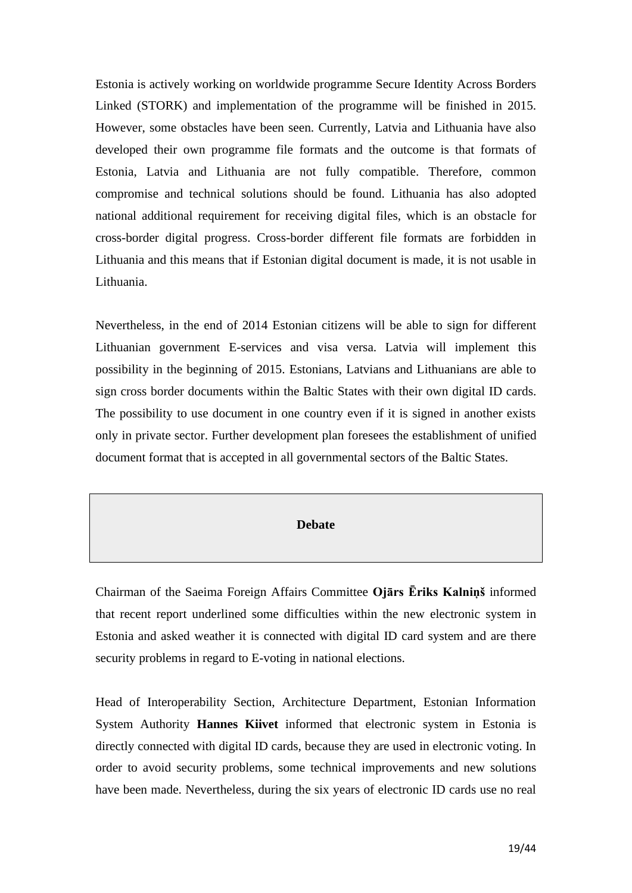Estonia is actively working on worldwide programme Secure Identity Across Borders Linked (STORK) and implementation of the programme will be finished in 2015. However, some obstacles have been seen. Currently, Latvia and Lithuania have also developed their own programme file formats and the outcome is that formats of Estonia, Latvia and Lithuania are not fully compatible. Therefore, common compromise and technical solutions should be found. Lithuania has also adopted national additional requirement for receiving digital files, which is an obstacle for cross-border digital progress. Cross-border different file formats are forbidden in Lithuania and this means that if Estonian digital document is made, it is not usable in Lithuania.

Nevertheless, in the end of 2014 Estonian citizens will be able to sign for different Lithuanian government E-services and visa versa. Latvia will implement this possibility in the beginning of 2015. Estonians, Latvians and Lithuanians are able to sign cross border documents within the Baltic States with their own digital ID cards. The possibility to use document in one country even if it is signed in another exists only in private sector. Further development plan foresees the establishment of unified document format that is accepted in all governmental sectors of the Baltic States.

### **Debate**

Chairman of the Saeima Foreign Affairs Committee **Ojārs Ēriks Kalniņš** informed that recent report underlined some difficulties within the new electronic system in Estonia and asked weather it is connected with digital ID card system and are there security problems in regard to E-voting in national elections.

Head of Interoperability Section, Architecture Department, Estonian Information System Authority **Hannes Kiivet** informed that electronic system in Estonia is directly connected with digital ID cards, because they are used in electronic voting. In order to avoid security problems, some technical improvements and new solutions have been made. Nevertheless, during the six years of electronic ID cards use no real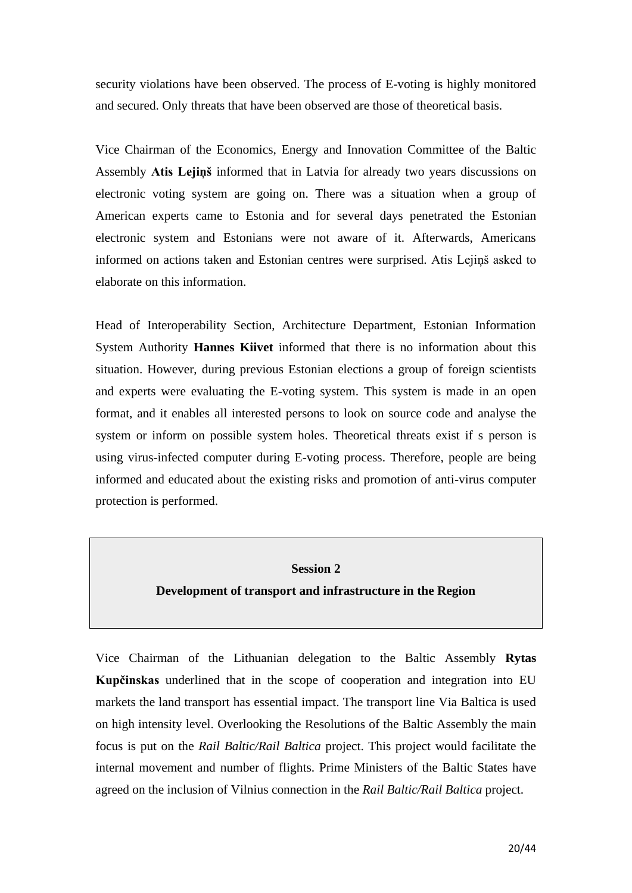security violations have been observed. The process of E-voting is highly monitored and secured. Only threats that have been observed are those of theoretical basis.

Vice Chairman of the Economics, Energy and Innovation Committee of the Baltic Assembly **Atis Lejiņš** informed that in Latvia for already two years discussions on electronic voting system are going on. There was a situation when a group of American experts came to Estonia and for several days penetrated the Estonian electronic system and Estonians were not aware of it. Afterwards, Americans informed on actions taken and Estonian centres were surprised. Atis Lejiņš asked to elaborate on this information.

Head of Interoperability Section, Architecture Department, Estonian Information System Authority **Hannes Kiivet** informed that there is no information about this situation. However, during previous Estonian elections a group of foreign scientists and experts were evaluating the E-voting system. This system is made in an open format, and it enables all interested persons to look on source code and analyse the system or inform on possible system holes. Theoretical threats exist if s person is using virus-infected computer during E-voting process. Therefore, people are being informed and educated about the existing risks and promotion of anti-virus computer protection is performed.

#### **Session 2**

### **Development of transport and infrastructure in the Region**

Vice Chairman of the Lithuanian delegation to the Baltic Assembly **Rytas Kupčinskas** underlined that in the scope of cooperation and integration into EU markets the land transport has essential impact. The transport line Via Baltica is used on high intensity level. Overlooking the Resolutions of the Baltic Assembly the main focus is put on the *Rail Baltic/Rail Baltica* project. This project would facilitate the internal movement and number of flights. Prime Ministers of the Baltic States have agreed on the inclusion of Vilnius connection in the *Rail Baltic/Rail Baltica* project.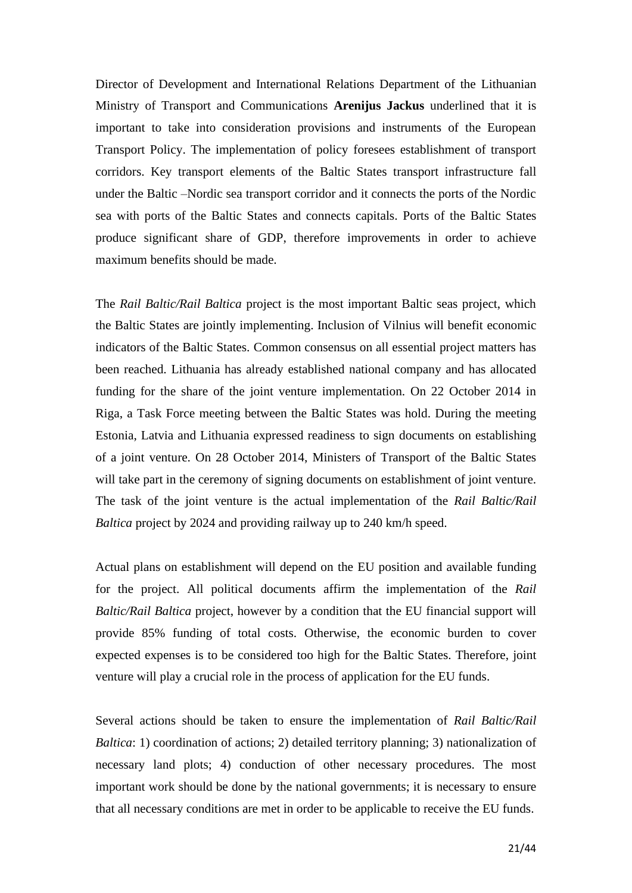Director of Development and International Relations Department of the Lithuanian Ministry of Transport and Communications **Arenijus Jackus** underlined that it is important to take into consideration provisions and instruments of the European Transport Policy. The implementation of policy foresees establishment of transport corridors. Key transport elements of the Baltic States transport infrastructure fall under the Baltic –Nordic sea transport corridor and it connects the ports of the Nordic sea with ports of the Baltic States and connects capitals. Ports of the Baltic States produce significant share of GDP, therefore improvements in order to achieve maximum benefits should be made.

The *Rail Baltic/Rail Baltica* project is the most important Baltic seas project, which the Baltic States are jointly implementing. Inclusion of Vilnius will benefit economic indicators of the Baltic States. Common consensus on all essential project matters has been reached. Lithuania has already established national company and has allocated funding for the share of the joint venture implementation. On 22 October 2014 in Riga, a Task Force meeting between the Baltic States was hold. During the meeting Estonia, Latvia and Lithuania expressed readiness to sign documents on establishing of a joint venture. On 28 October 2014, Ministers of Transport of the Baltic States will take part in the ceremony of signing documents on establishment of joint venture. The task of the joint venture is the actual implementation of the *Rail Baltic/Rail Baltica* project by 2024 and providing railway up to 240 km/h speed.

Actual plans on establishment will depend on the EU position and available funding for the project. All political documents affirm the implementation of the *Rail Baltic/Rail Baltica* project, however by a condition that the EU financial support will provide 85% funding of total costs. Otherwise, the economic burden to cover expected expenses is to be considered too high for the Baltic States. Therefore, joint venture will play a crucial role in the process of application for the EU funds.

Several actions should be taken to ensure the implementation of *Rail Baltic/Rail Baltica*: 1) coordination of actions; 2) detailed territory planning; 3) nationalization of necessary land plots; 4) conduction of other necessary procedures. The most important work should be done by the national governments; it is necessary to ensure that all necessary conditions are met in order to be applicable to receive the EU funds.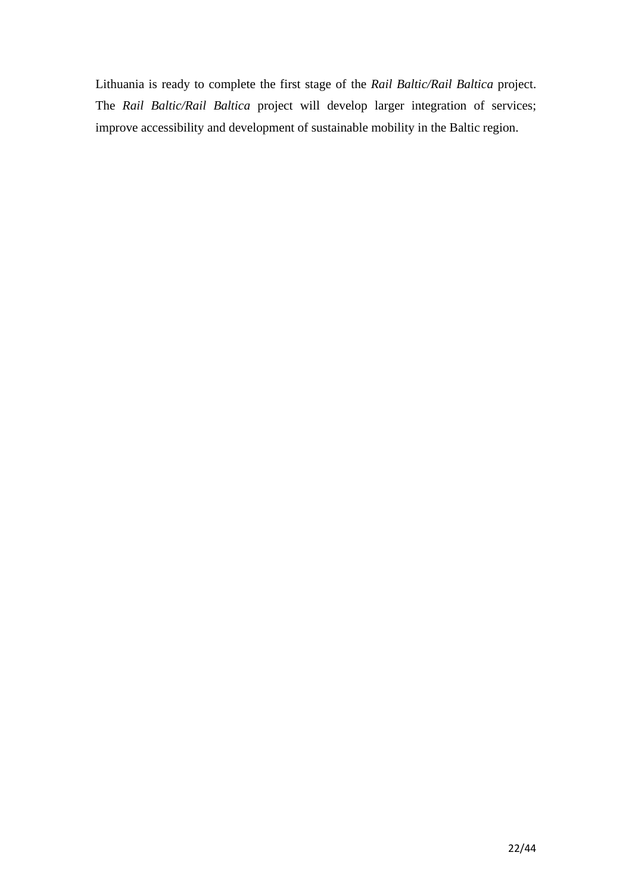Lithuania is ready to complete the first stage of the *Rail Baltic/Rail Baltica* project. The *Rail Baltic/Rail Baltica* project will develop larger integration of services; improve accessibility and development of sustainable mobility in the Baltic region.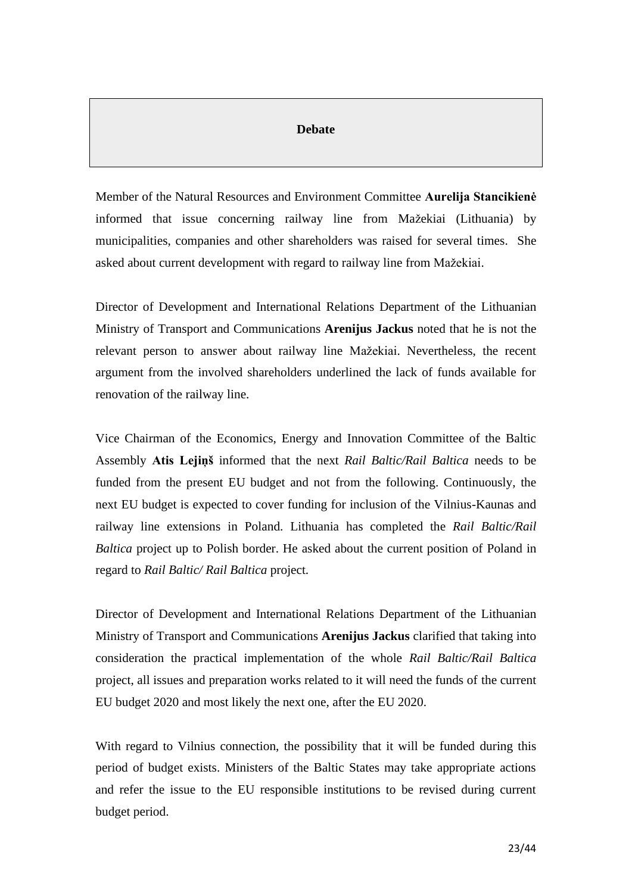### **Debate**

Member of the Natural Resources and Environment Committee **Aurelija Stancikienė** informed that issue concerning railway line from Mažekiai (Lithuania) by municipalities, companies and other shareholders was raised for several times. She asked about current development with regard to railway line from Mažekiai.

Director of Development and International Relations Department of the Lithuanian Ministry of Transport and Communications **Arenijus Jackus** noted that he is not the relevant person to answer about railway line Mažekiai. Nevertheless, the recent argument from the involved shareholders underlined the lack of funds available for renovation of the railway line.

Vice Chairman of the Economics, Energy and Innovation Committee of the Baltic Assembly **Atis Lejiņš** informed that the next *Rail Baltic/Rail Baltica* needs to be funded from the present EU budget and not from the following. Continuously, the next EU budget is expected to cover funding for inclusion of the Vilnius-Kaunas and railway line extensions in Poland. Lithuania has completed the *Rail Baltic/Rail Baltica* project up to Polish border. He asked about the current position of Poland in regard to *Rail Baltic/ Rail Baltica* project.

Director of Development and International Relations Department of the Lithuanian Ministry of Transport and Communications **Arenijus Jackus** clarified that taking into consideration the practical implementation of the whole *Rail Baltic/Rail Baltica* project, all issues and preparation works related to it will need the funds of the current EU budget 2020 and most likely the next one, after the EU 2020.

With regard to Vilnius connection, the possibility that it will be funded during this period of budget exists. Ministers of the Baltic States may take appropriate actions and refer the issue to the EU responsible institutions to be revised during current budget period.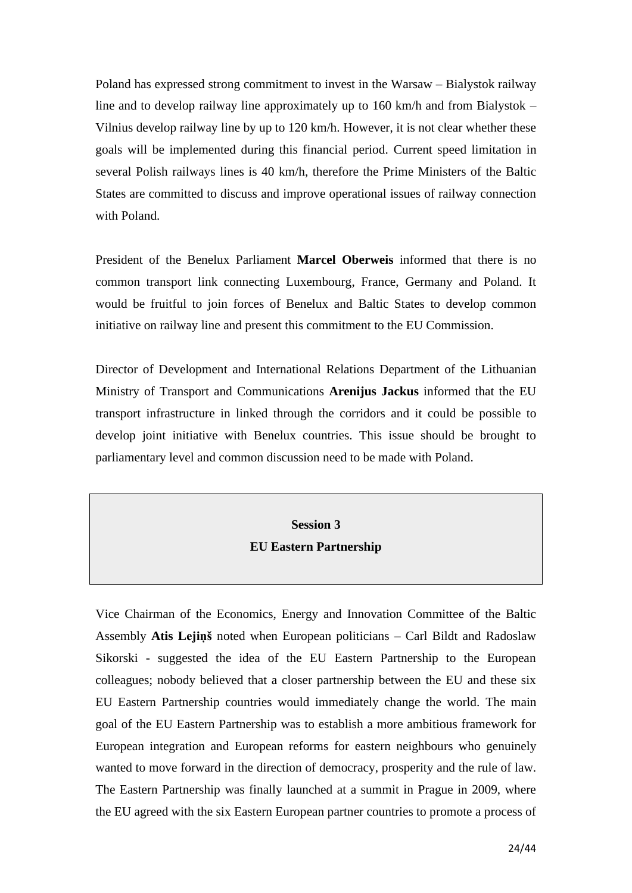Poland has expressed strong commitment to invest in the Warsaw – Bialystok railway line and to develop railway line approximately up to 160 km/h and from Bialystok – Vilnius develop railway line by up to 120 km/h. However, it is not clear whether these goals will be implemented during this financial period. Current speed limitation in several Polish railways lines is 40 km/h, therefore the Prime Ministers of the Baltic States are committed to discuss and improve operational issues of railway connection with Poland.

President of the Benelux Parliament **Marcel Oberweis** informed that there is no common transport link connecting Luxembourg, France, Germany and Poland. It would be fruitful to join forces of Benelux and Baltic States to develop common initiative on railway line and present this commitment to the EU Commission.

Director of Development and International Relations Department of the Lithuanian Ministry of Transport and Communications **Arenijus Jackus** informed that the EU transport infrastructure in linked through the corridors and it could be possible to develop joint initiative with Benelux countries. This issue should be brought to parliamentary level and common discussion need to be made with Poland.

# **Session 3 EU Eastern Partnership**

Vice Chairman of the Economics, Energy and Innovation Committee of the Baltic Assembly **Atis Lejiņš** noted when European politicians – Carl Bildt and Radoslaw Sikorski - suggested the idea of the EU Eastern Partnership to the European colleagues; nobody believed that a closer partnership between the EU and these six EU Eastern Partnership countries would immediately change the world. The main goal of the EU Eastern Partnership was to establish a more ambitious framework for European integration and European reforms for eastern neighbours who genuinely wanted to move forward in the direction of democracy, prosperity and the rule of law. The Eastern Partnership was finally launched at a summit in Prague in 2009, where the EU agreed with the six Eastern European partner countries to promote a process of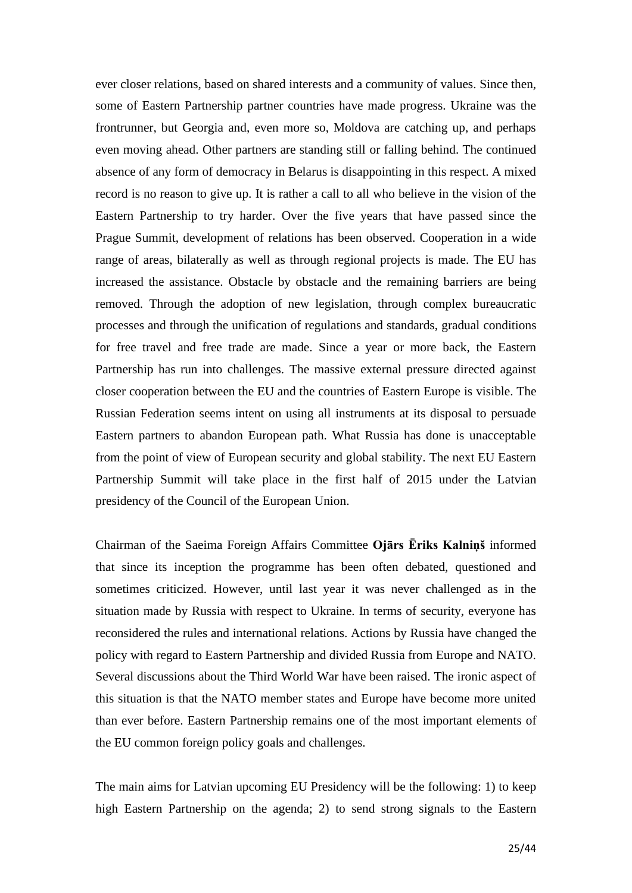ever closer relations, based on shared interests and a community of values. Since then, some of Eastern Partnership partner countries have made progress. Ukraine was the frontrunner, but Georgia and, even more so, Moldova are catching up, and perhaps even moving ahead. Other partners are standing still or falling behind. The continued absence of any form of democracy in Belarus is disappointing in this respect. A mixed record is no reason to give up. It is rather a call to all who believe in the vision of the Eastern Partnership to try harder. Over the five years that have passed since the Prague Summit, development of relations has been observed. Cooperation in a wide range of areas, bilaterally as well as through regional projects is made. The EU has increased the assistance. Obstacle by obstacle and the remaining barriers are being removed. Through the adoption of new legislation, through complex bureaucratic processes and through the unification of regulations and standards, gradual conditions for free travel and free trade are made. Since a year or more back, the Eastern Partnership has run into challenges. The massive external pressure directed against closer cooperation between the EU and the countries of Eastern Europe is visible. The Russian Federation seems intent on using all instruments at its disposal to persuade Eastern partners to abandon European path. What Russia has done is unacceptable from the point of view of European security and global stability. The next EU Eastern Partnership Summit will take place in the first half of 2015 under the Latvian presidency of the Council of the European Union.

Chairman of the Saeima Foreign Affairs Committee **Ojārs Ēriks Kalniņš** informed that since its inception the programme has been often debated, questioned and sometimes criticized. However, until last year it was never challenged as in the situation made by Russia with respect to Ukraine. In terms of security, everyone has reconsidered the rules and international relations. Actions by Russia have changed the policy with regard to Eastern Partnership and divided Russia from Europe and NATO. Several discussions about the Third World War have been raised. The ironic aspect of this situation is that the NATO member states and Europe have become more united than ever before. Eastern Partnership remains one of the most important elements of the EU common foreign policy goals and challenges.

The main aims for Latvian upcoming EU Presidency will be the following: 1) to keep high Eastern Partnership on the agenda; 2) to send strong signals to the Eastern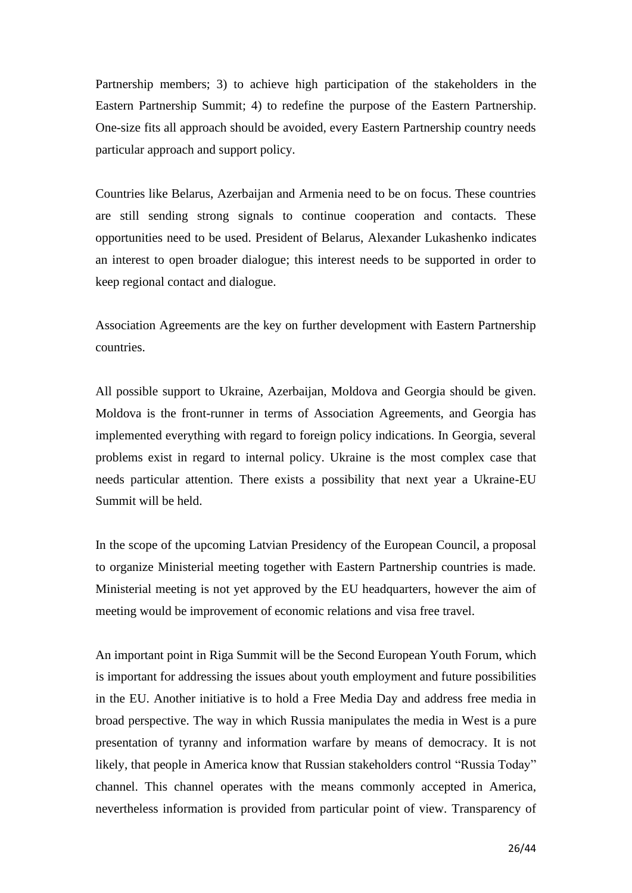Partnership members; 3) to achieve high participation of the stakeholders in the Eastern Partnership Summit; 4) to redefine the purpose of the Eastern Partnership. One-size fits all approach should be avoided, every Eastern Partnership country needs particular approach and support policy.

Countries like Belarus, Azerbaijan and Armenia need to be on focus. These countries are still sending strong signals to continue cooperation and contacts. These opportunities need to be used. President of Belarus, Alexander Lukashenko indicates an interest to open broader dialogue; this interest needs to be supported in order to keep regional contact and dialogue.

Association Agreements are the key on further development with Eastern Partnership countries.

All possible support to Ukraine, Azerbaijan, Moldova and Georgia should be given. Moldova is the front-runner in terms of Association Agreements, and Georgia has implemented everything with regard to foreign policy indications. In Georgia, several problems exist in regard to internal policy. Ukraine is the most complex case that needs particular attention. There exists a possibility that next year a Ukraine-EU Summit will be held.

In the scope of the upcoming Latvian Presidency of the European Council, a proposal to organize Ministerial meeting together with Eastern Partnership countries is made. Ministerial meeting is not yet approved by the EU headquarters, however the aim of meeting would be improvement of economic relations and visa free travel.

An important point in Riga Summit will be the Second European Youth Forum, which is important for addressing the issues about youth employment and future possibilities in the EU. Another initiative is to hold a Free Media Day and address free media in broad perspective. The way in which Russia manipulates the media in West is a pure presentation of tyranny and information warfare by means of democracy. It is not likely, that people in America know that Russian stakeholders control "Russia Today" channel. This channel operates with the means commonly accepted in America, nevertheless information is provided from particular point of view. Transparency of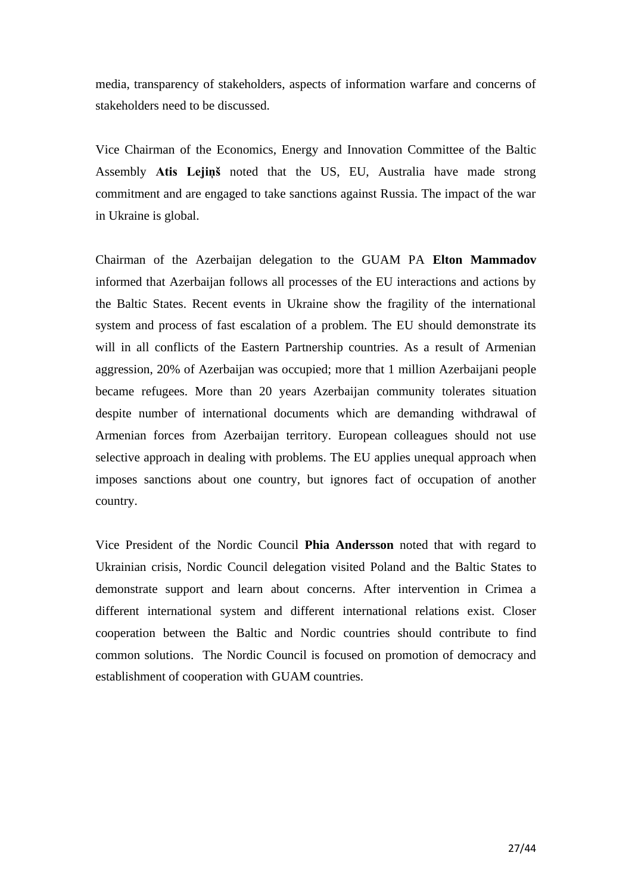media, transparency of stakeholders, aspects of information warfare and concerns of stakeholders need to be discussed.

Vice Chairman of the Economics, Energy and Innovation Committee of the Baltic Assembly **Atis Lejiņš** noted that the US, EU, Australia have made strong commitment and are engaged to take sanctions against Russia. The impact of the war in Ukraine is global.

Chairman of the Azerbaijan delegation to the GUAM PA **Elton Mammadov** informed that Azerbaijan follows all processes of the EU interactions and actions by the Baltic States. Recent events in Ukraine show the fragility of the international system and process of fast escalation of a problem. The EU should demonstrate its will in all conflicts of the Eastern Partnership countries. As a result of Armenian aggression, 20% of Azerbaijan was occupied; more that 1 million Azerbaijani people became refugees. More than 20 years Azerbaijan community tolerates situation despite number of international documents which are demanding withdrawal of Armenian forces from Azerbaijan territory. European colleagues should not use selective approach in dealing with problems. The EU applies unequal approach when imposes sanctions about one country, but ignores fact of occupation of another country.

Vice President of the Nordic Council **Phia Andersson** noted that with regard to Ukrainian crisis, Nordic Council delegation visited Poland and the Baltic States to demonstrate support and learn about concerns. After intervention in Crimea a different international system and different international relations exist. Closer cooperation between the Baltic and Nordic countries should contribute to find common solutions. The Nordic Council is focused on promotion of democracy and establishment of cooperation with GUAM countries.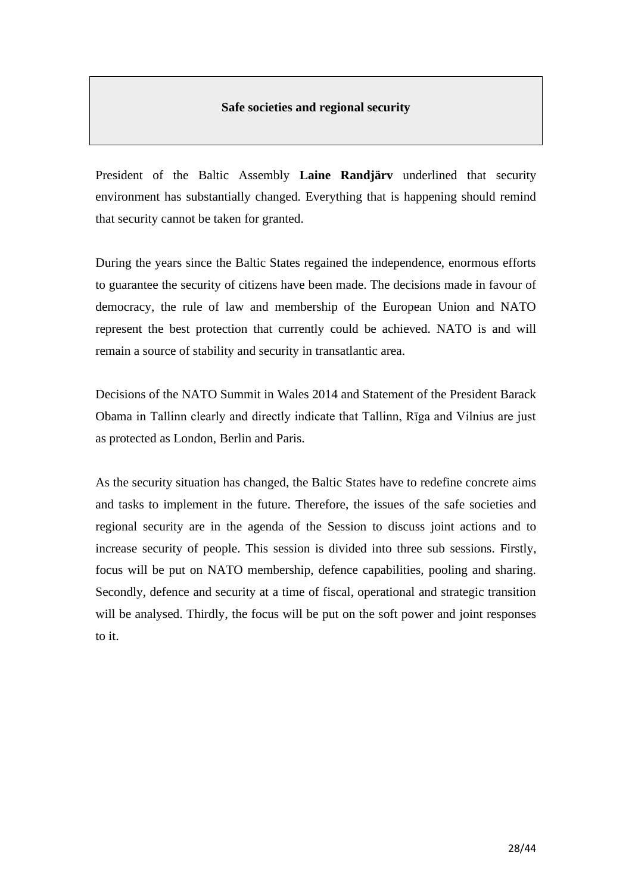### **Safe societies and regional security**

President of the Baltic Assembly **Laine Randjärv** underlined that security environment has substantially changed. Everything that is happening should remind that security cannot be taken for granted.

During the years since the Baltic States regained the independence, enormous efforts to guarantee the security of citizens have been made. The decisions made in favour of democracy, the rule of law and membership of the European Union and NATO represent the best protection that currently could be achieved. NATO is and will remain a source of stability and security in transatlantic area.

Decisions of the NATO Summit in Wales 2014 and Statement of the President Barack Obama in Tallinn clearly and directly indicate that Tallinn, Rīga and Vilnius are just as protected as London, Berlin and Paris.

As the security situation has changed, the Baltic States have to redefine concrete aims and tasks to implement in the future. Therefore, the issues of the safe societies and regional security are in the agenda of the Session to discuss joint actions and to increase security of people. This session is divided into three sub sessions. Firstly, focus will be put on NATO membership, defence capabilities, pooling and sharing. Secondly, defence and security at a time of fiscal, operational and strategic transition will be analysed. Thirdly, the focus will be put on the soft power and joint responses to it.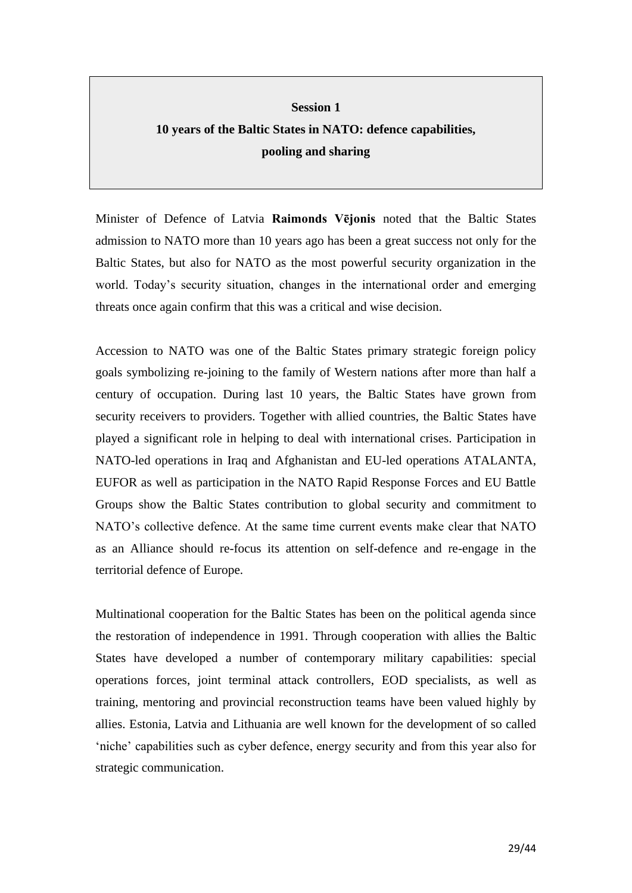# **Session 1 10 years of the Baltic States in NATO: defence capabilities, pooling and sharing**

Minister of Defence of Latvia **Raimonds Vējonis** noted that the Baltic States admission to NATO more than 10 years ago has been a great success not only for the Baltic States, but also for NATO as the most powerful security organization in the world. Today's security situation, changes in the international order and emerging threats once again confirm that this was a critical and wise decision.

Accession to NATO was one of the Baltic States primary strategic foreign policy goals symbolizing re-joining to the family of Western nations after more than half a century of occupation. During last 10 years, the Baltic States have grown from security receivers to providers. Together with allied countries, the Baltic States have played a significant role in helping to deal with international crises. Participation in NATO-led operations in Iraq and Afghanistan and EU-led operations ATALANTA, EUFOR as well as participation in the NATO Rapid Response Forces and EU Battle Groups show the Baltic States contribution to global security and commitment to NATO's collective defence. At the same time current events make clear that NATO as an Alliance should re-focus its attention on self-defence and re-engage in the territorial defence of Europe.

Multinational cooperation for the Baltic States has been on the political agenda since the restoration of independence in 1991. Through cooperation with allies the Baltic States have developed a number of contemporary military capabilities: special operations forces, joint terminal attack controllers, EOD specialists, as well as training, mentoring and provincial reconstruction teams have been valued highly by allies. Estonia, Latvia and Lithuania are well known for the development of so called 'niche' capabilities such as cyber defence, energy security and from this year also for strategic communication.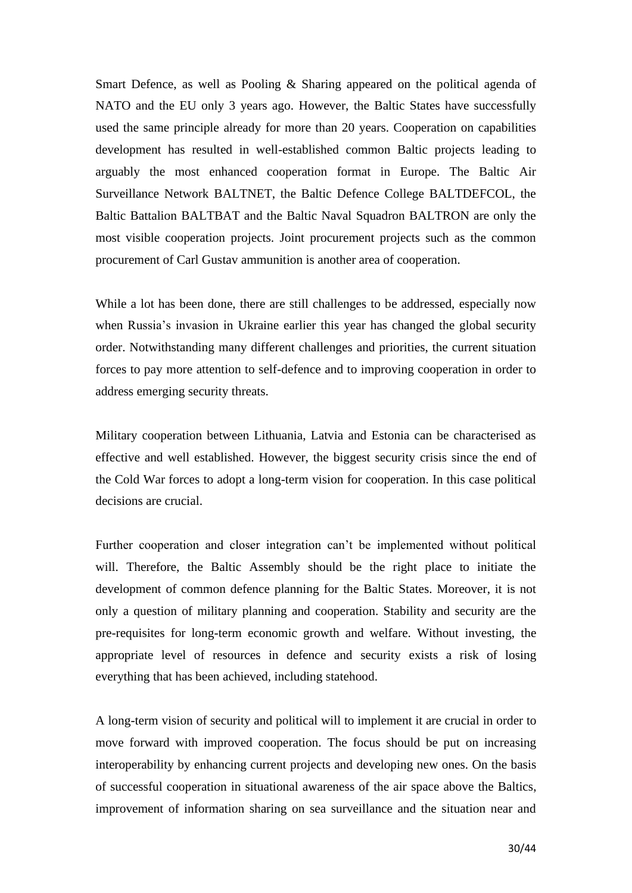Smart Defence, as well as Pooling & Sharing appeared on the political agenda of NATO and the EU only 3 years ago. However, the Baltic States have successfully used the same principle already for more than 20 years. Cooperation on capabilities development has resulted in well-established common Baltic projects leading to arguably the most enhanced cooperation format in Europe. The Baltic Air Surveillance Network BALTNET, the Baltic Defence College BALTDEFCOL, the Baltic Battalion BALTBAT and the Baltic Naval Squadron BALTRON are only the most visible cooperation projects. Joint procurement projects such as the common procurement of Carl Gustav ammunition is another area of cooperation.

While a lot has been done, there are still challenges to be addressed, especially now when Russia's invasion in Ukraine earlier this year has changed the global security order. Notwithstanding many different challenges and priorities, the current situation forces to pay more attention to self-defence and to improving cooperation in order to address emerging security threats.

Military cooperation between Lithuania, Latvia and Estonia can be characterised as effective and well established. However, the biggest security crisis since the end of the Cold War forces to adopt a long-term vision for cooperation. In this case political decisions are crucial.

Further cooperation and closer integration can't be implemented without political will. Therefore, the Baltic Assembly should be the right place to initiate the development of common defence planning for the Baltic States. Moreover, it is not only a question of military planning and cooperation. Stability and security are the pre-requisites for long-term economic growth and welfare. Without investing, the appropriate level of resources in defence and security exists a risk of losing everything that has been achieved, including statehood.

A long-term vision of security and political will to implement it are crucial in order to move forward with improved cooperation. The focus should be put on increasing interoperability by enhancing current projects and developing new ones. On the basis of successful cooperation in situational awareness of the air space above the Baltics, improvement of information sharing on sea surveillance and the situation near and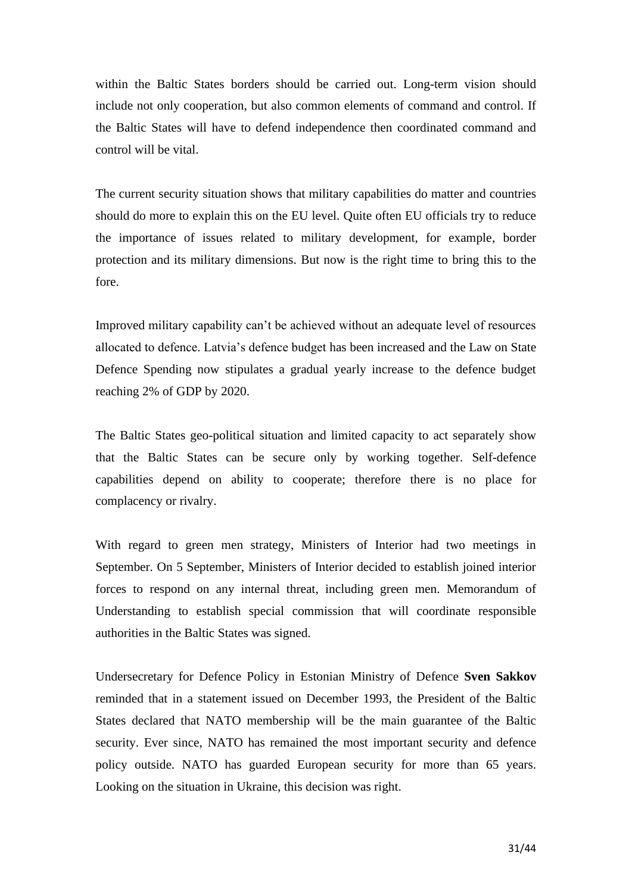within the Baltic States borders should be carried out. Long-term vision should include not only cooperation, but also common elements of command and control. If the Baltic States will have to defend independence then coordinated command and control will be vital.

The current security situation shows that military capabilities do matter and countries should do more to explain this on the EU level. Quite often EU officials try to reduce the importance of issues related to military development, for example, border protection and its military dimensions. But now is the right time to bring this to the fore.

Improved military capability can't be achieved without an adequate level of resources allocated to defence. Latvia's defence budget has been increased and the Law on State Defence Spending now stipulates a gradual yearly increase to the defence budget reaching 2% of GDP by 2020.

The Baltic States geo-political situation and limited capacity to act separately show that the Baltic States can be secure only by working together. Self-defence capabilities depend on ability to cooperate; therefore there is no place for complacency or rivalry.

With regard to green men strategy, Ministers of Interior had two meetings in September. On 5 September, Ministers of Interior decided to establish joined interior forces to respond on any internal threat, including green men. Memorandum of Understanding to establish special commission that will coordinate responsible authorities in the Baltic States was signed.

Undersecretary for Defence Policy in Estonian Ministry of Defence **Sven Sakkov** reminded that in a statement issued on December 1993, the President of the Baltic States declared that NATO membership will be the main guarantee of the Baltic security. Ever since, NATO has remained the most important security and defence policy outside. NATO has guarded European security for more than 65 years. Looking on the situation in Ukraine, this decision was right.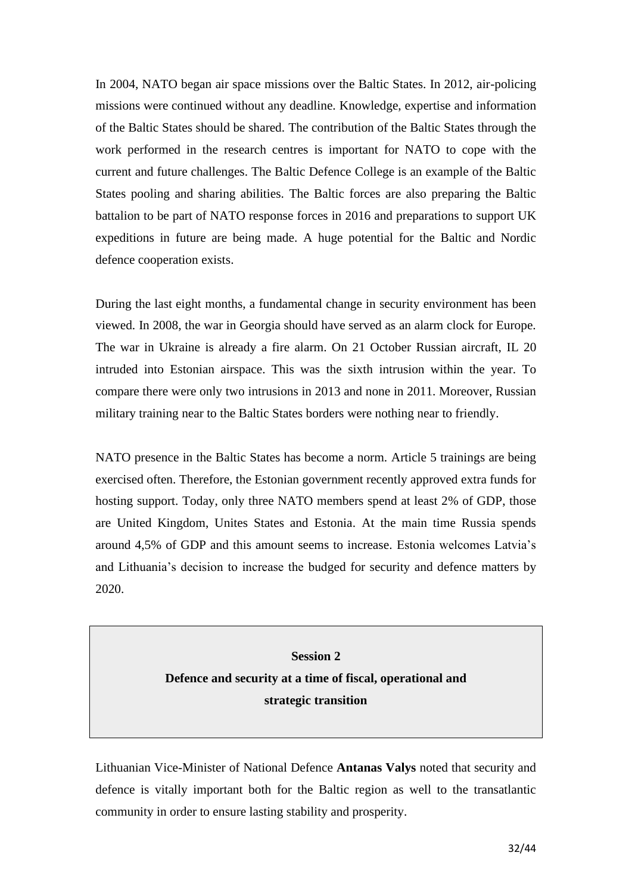In 2004, NATO began air space missions over the Baltic States. In 2012, air-policing missions were continued without any deadline. Knowledge, expertise and information of the Baltic States should be shared. The contribution of the Baltic States through the work performed in the research centres is important for NATO to cope with the current and future challenges. The Baltic Defence College is an example of the Baltic States pooling and sharing abilities. The Baltic forces are also preparing the Baltic battalion to be part of NATO response forces in 2016 and preparations to support UK expeditions in future are being made. A huge potential for the Baltic and Nordic defence cooperation exists.

During the last eight months, a fundamental change in security environment has been viewed. In 2008, the war in Georgia should have served as an alarm clock for Europe. The war in Ukraine is already a fire alarm. On 21 October Russian aircraft, IL 20 intruded into Estonian airspace. This was the sixth intrusion within the year. To compare there were only two intrusions in 2013 and none in 2011. Moreover, Russian military training near to the Baltic States borders were nothing near to friendly.

NATO presence in the Baltic States has become a norm. Article 5 trainings are being exercised often. Therefore, the Estonian government recently approved extra funds for hosting support. Today, only three NATO members spend at least 2% of GDP, those are United Kingdom, Unites States and Estonia. At the main time Russia spends around 4,5% of GDP and this amount seems to increase. Estonia welcomes Latvia's and Lithuania's decision to increase the budged for security and defence matters by 2020.

> **Session 2 Defence and security at a time of fiscal, operational and strategic transition**

Lithuanian Vice-Minister of National Defence **Antanas Valys** noted that security and defence is vitally important both for the Baltic region as well to the transatlantic community in order to ensure lasting stability and prosperity.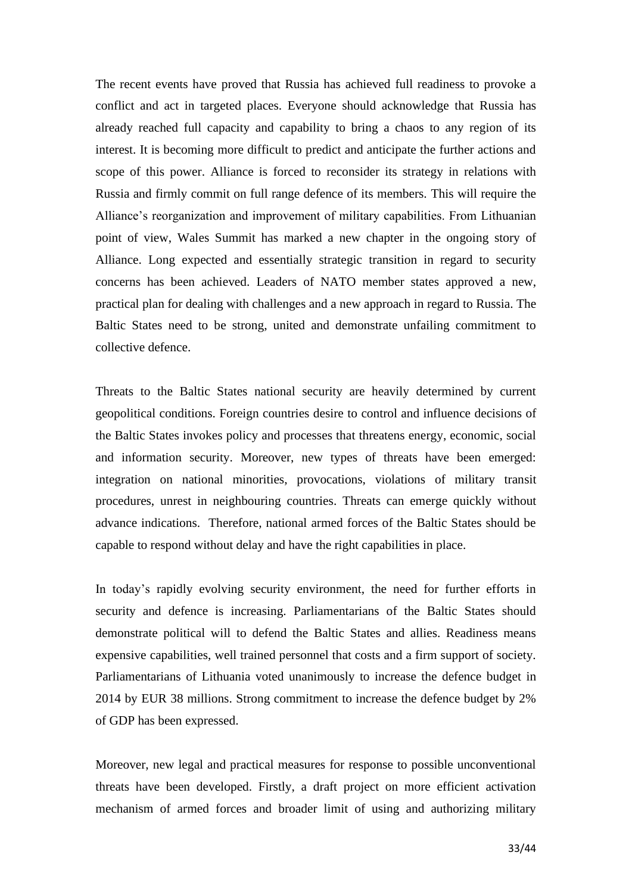The recent events have proved that Russia has achieved full readiness to provoke a conflict and act in targeted places. Everyone should acknowledge that Russia has already reached full capacity and capability to bring a chaos to any region of its interest. It is becoming more difficult to predict and anticipate the further actions and scope of this power. Alliance is forced to reconsider its strategy in relations with Russia and firmly commit on full range defence of its members. This will require the Alliance's reorganization and improvement of military capabilities. From Lithuanian point of view, Wales Summit has marked a new chapter in the ongoing story of Alliance. Long expected and essentially strategic transition in regard to security concerns has been achieved. Leaders of NATO member states approved a new, practical plan for dealing with challenges and a new approach in regard to Russia. The Baltic States need to be strong, united and demonstrate unfailing commitment to collective defence.

Threats to the Baltic States national security are heavily determined by current geopolitical conditions. Foreign countries desire to control and influence decisions of the Baltic States invokes policy and processes that threatens energy, economic, social and information security. Moreover, new types of threats have been emerged: integration on national minorities, provocations, violations of military transit procedures, unrest in neighbouring countries. Threats can emerge quickly without advance indications. Therefore, national armed forces of the Baltic States should be capable to respond without delay and have the right capabilities in place.

In today's rapidly evolving security environment, the need for further efforts in security and defence is increasing. Parliamentarians of the Baltic States should demonstrate political will to defend the Baltic States and allies. Readiness means expensive capabilities, well trained personnel that costs and a firm support of society. Parliamentarians of Lithuania voted unanimously to increase the defence budget in 2014 by EUR 38 millions. Strong commitment to increase the defence budget by 2% of GDP has been expressed.

Moreover, new legal and practical measures for response to possible unconventional threats have been developed. Firstly, a draft project on more efficient activation mechanism of armed forces and broader limit of using and authorizing military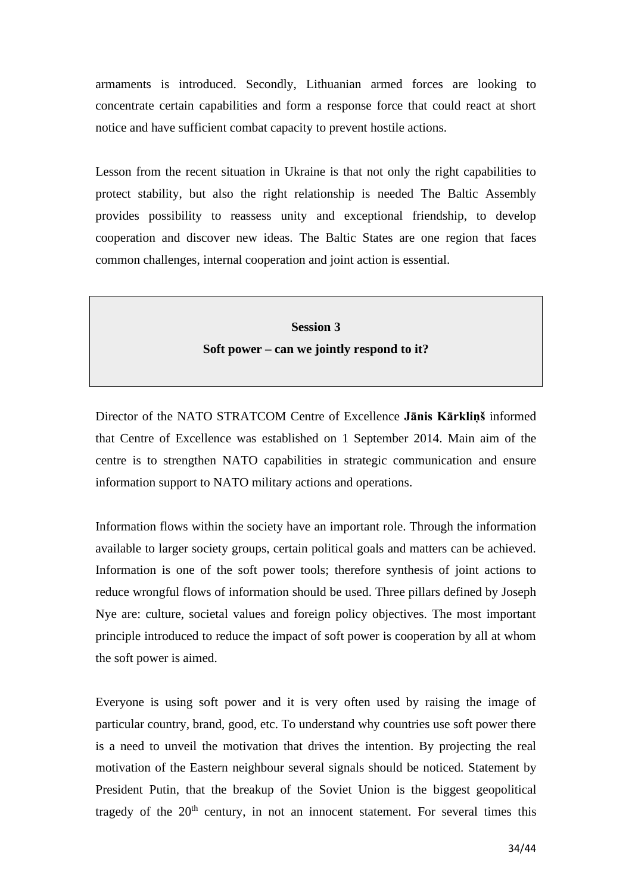armaments is introduced. Secondly, Lithuanian armed forces are looking to concentrate certain capabilities and form a response force that could react at short notice and have sufficient combat capacity to prevent hostile actions.

Lesson from the recent situation in Ukraine is that not only the right capabilities to protect stability, but also the right relationship is needed The Baltic Assembly provides possibility to reassess unity and exceptional friendship, to develop cooperation and discover new ideas. The Baltic States are one region that faces common challenges, internal cooperation and joint action is essential.

> **Session 3 Soft power – can we jointly respond to it?**

Director of the NATO STRATCOM Centre of Excellence **Jānis Kārkliņš** informed that Centre of Excellence was established on 1 September 2014. Main aim of the centre is to strengthen NATO capabilities in strategic communication and ensure information support to NATO military actions and operations.

Information flows within the society have an important role. Through the information available to larger society groups, certain political goals and matters can be achieved. Information is one of the soft power tools; therefore synthesis of joint actions to reduce wrongful flows of information should be used. Three pillars defined by Joseph Nye are: culture, societal values and foreign policy objectives. The most important principle introduced to reduce the impact of soft power is cooperation by all at whom the soft power is aimed.

Everyone is using soft power and it is very often used by raising the image of particular country, brand, good, etc. To understand why countries use soft power there is a need to unveil the motivation that drives the intention. By projecting the real motivation of the Eastern neighbour several signals should be noticed. Statement by President Putin, that the breakup of the Soviet Union is the biggest geopolitical tragedy of the  $20<sup>th</sup>$  century, in not an innocent statement. For several times this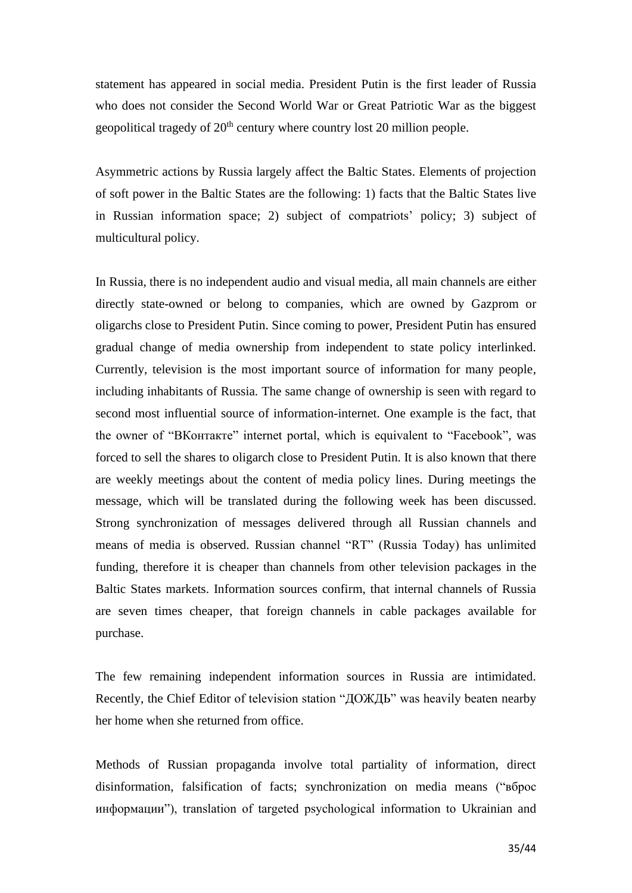statement has appeared in social media. President Putin is the first leader of Russia who does not consider the Second World War or Great Patriotic War as the biggest geopolitical tragedy of  $20<sup>th</sup>$  century where country lost 20 million people.

Asymmetric actions by Russia largely affect the Baltic States. Elements of projection of soft power in the Baltic States are the following: 1) facts that the Baltic States live in Russian information space; 2) subject of compatriots' policy; 3) subject of multicultural policy.

In Russia, there is no independent audio and visual media, all main channels are either directly state-owned or belong to companies, which are owned by Gazprom or oligarchs close to President Putin. Since coming to power, President Putin has ensured gradual change of media ownership from independent to state policy interlinked. Currently, television is the most important source of information for many people, including inhabitants of Russia. The same change of ownership is seen with regard to second most influential source of information-internet. One example is the fact, that the owner of "ВКонтакте" internet portal, which is equivalent to "Facebook", was forced to sell the shares to oligarch close to President Putin. It is also known that there are weekly meetings about the content of media policy lines. During meetings the message, which will be translated during the following week has been discussed. Strong synchronization of messages delivered through all Russian channels and means of media is observed. Russian channel "RT" (Russia Today) has unlimited funding, therefore it is cheaper than channels from other television packages in the Baltic States markets. Information sources confirm, that internal channels of Russia are seven times cheaper, that foreign channels in cable packages available for purchase.

The few remaining independent information sources in Russia are intimidated. Recently, the Chief Editor of television station "ДОЖДЬ" was heavily beaten nearby her home when she returned from office.

Methods of Russian propaganda involve total partiality of information, direct disinformation, falsification of facts; synchronization on media means ("вброс информации"), translation of targeted psychological information to Ukrainian and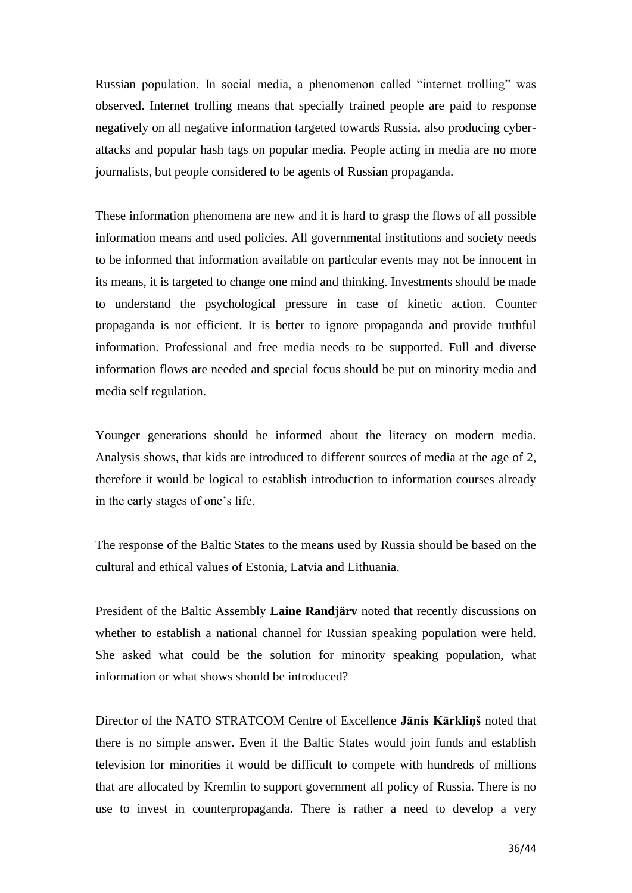Russian population. In social media, a phenomenon called "internet trolling" was observed. Internet trolling means that specially trained people are paid to response negatively on all negative information targeted towards Russia, also producing cyberattacks and popular hash tags on popular media. People acting in media are no more journalists, but people considered to be agents of Russian propaganda.

These information phenomena are new and it is hard to grasp the flows of all possible information means and used policies. All governmental institutions and society needs to be informed that information available on particular events may not be innocent in its means, it is targeted to change one mind and thinking. Investments should be made to understand the psychological pressure in case of kinetic action. Counter propaganda is not efficient. It is better to ignore propaganda and provide truthful information. Professional and free media needs to be supported. Full and diverse information flows are needed and special focus should be put on minority media and media self regulation.

Younger generations should be informed about the literacy on modern media. Analysis shows, that kids are introduced to different sources of media at the age of 2, therefore it would be logical to establish introduction to information courses already in the early stages of one's life.

The response of the Baltic States to the means used by Russia should be based on the cultural and ethical values of Estonia, Latvia and Lithuania.

President of the Baltic Assembly **Laine Randjärv** noted that recently discussions on whether to establish a national channel for Russian speaking population were held. She asked what could be the solution for minority speaking population, what information or what shows should be introduced?

Director of the NATO STRATCOM Centre of Excellence **Jānis Kārkliņš** noted that there is no simple answer. Even if the Baltic States would join funds and establish television for minorities it would be difficult to compete with hundreds of millions that are allocated by Kremlin to support government all policy of Russia. There is no use to invest in counterpropaganda. There is rather a need to develop a very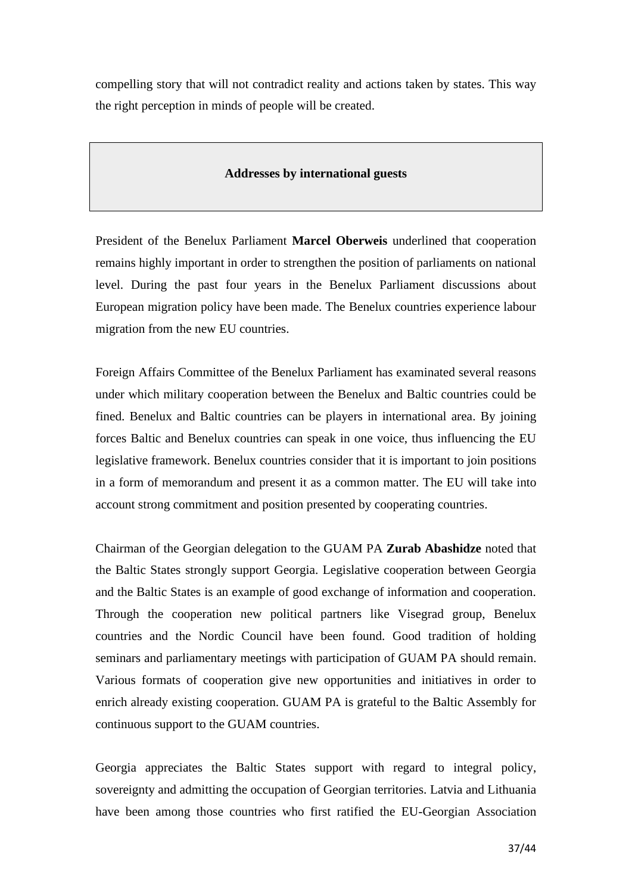compelling story that will not contradict reality and actions taken by states. This way the right perception in minds of people will be created.

### **Addresses by international guests**

President of the Benelux Parliament **Marcel Oberweis** underlined that cooperation remains highly important in order to strengthen the position of parliaments on national level. During the past four years in the Benelux Parliament discussions about European migration policy have been made. The Benelux countries experience labour migration from the new EU countries.

Foreign Affairs Committee of the Benelux Parliament has examinated several reasons under which military cooperation between the Benelux and Baltic countries could be fined. Benelux and Baltic countries can be players in international area. By joining forces Baltic and Benelux countries can speak in one voice, thus influencing the EU legislative framework. Benelux countries consider that it is important to join positions in a form of memorandum and present it as a common matter. The EU will take into account strong commitment and position presented by cooperating countries.

Chairman of the Georgian delegation to the GUAM PA **Zurab Abashidze** noted that the Baltic States strongly support Georgia. Legislative cooperation between Georgia and the Baltic States is an example of good exchange of information and cooperation. Through the cooperation new political partners like Visegrad group, Benelux countries and the Nordic Council have been found. Good tradition of holding seminars and parliamentary meetings with participation of GUAM PA should remain. Various formats of cooperation give new opportunities and initiatives in order to enrich already existing cooperation. GUAM PA is grateful to the Baltic Assembly for continuous support to the GUAM countries.

Georgia appreciates the Baltic States support with regard to integral policy, sovereignty and admitting the occupation of Georgian territories. Latvia and Lithuania have been among those countries who first ratified the EU-Georgian Association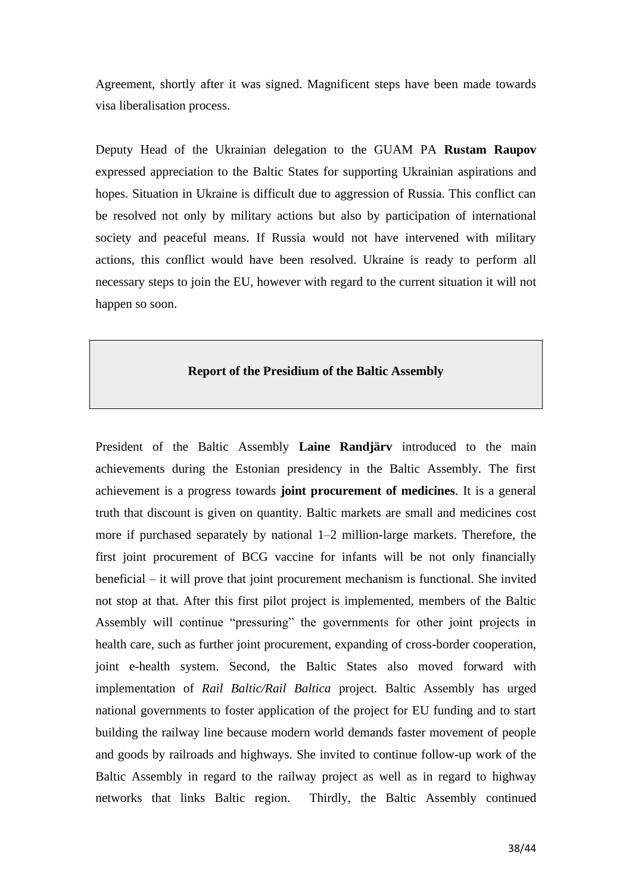Agreement, shortly after it was signed. Magnificent steps have been made towards visa liberalisation process.

Deputy Head of the Ukrainian delegation to the GUAM PA **Rustam Raupov** expressed appreciation to the Baltic States for supporting Ukrainian aspirations and hopes. Situation in Ukraine is difficult due to aggression of Russia. This conflict can be resolved not only by military actions but also by participation of international society and peaceful means. If Russia would not have intervened with military actions, this conflict would have been resolved. Ukraine is ready to perform all necessary steps to join the EU, however with regard to the current situation it will not happen so soon.

### **Report of the Presidium of the Baltic Assembly**

President of the Baltic Assembly **Laine Randjärv** introduced to the main achievements during the Estonian presidency in the Baltic Assembly. The first achievement is a progress towards **joint procurement of medicines**. It is a general truth that discount is given on quantity. Baltic markets are small and medicines cost more if purchased separately by national 1–2 million-large markets. Therefore, the first joint procurement of BCG vaccine for infants will be not only financially beneficial – it will prove that joint procurement mechanism is functional. She invited not stop at that. After this first pilot project is implemented, members of the Baltic Assembly will continue "pressuring" the governments for other joint projects in health care, such as further joint procurement, expanding of cross-border cooperation, joint e-health system. Second, the Baltic States also moved forward with implementation of *Rail Baltic/Rail Baltica* project*.* Baltic Assembly has urged national governments to foster application of the project for EU funding and to start building the railway line because modern world demands faster movement of people and goods by railroads and highways. She invited to continue follow-up work of the Baltic Assembly in regard to the railway project as well as in regard to highway networks that links Baltic region. Thirdly, the Baltic Assembly continued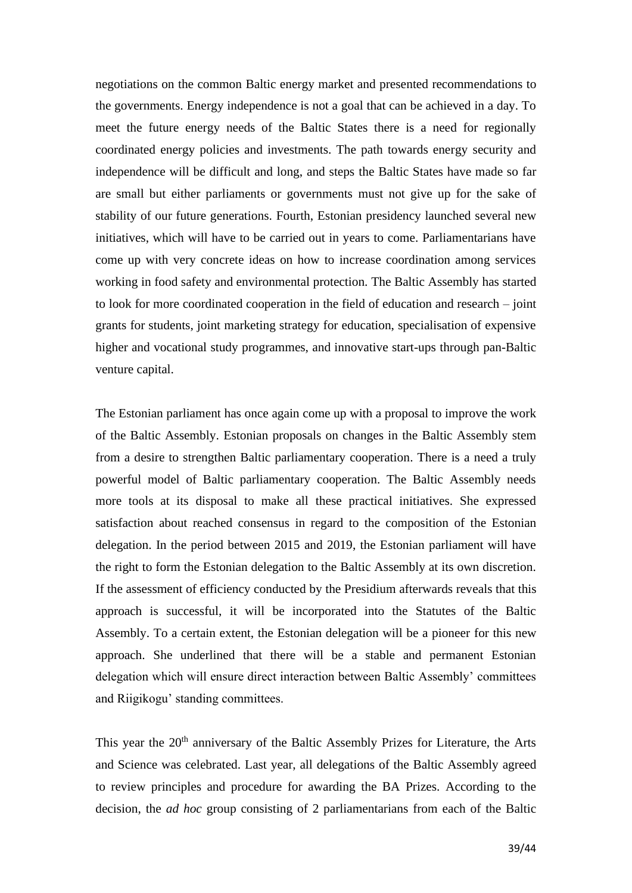negotiations on the common Baltic energy market and presented recommendations to the governments. Energy independence is not a goal that can be achieved in a day. To meet the future energy needs of the Baltic States there is a need for regionally coordinated energy policies and investments. The path towards energy security and independence will be difficult and long, and steps the Baltic States have made so far are small but either parliaments or governments must not give up for the sake of stability of our future generations. Fourth, Estonian presidency launched several new initiatives, which will have to be carried out in years to come. Parliamentarians have come up with very concrete ideas on how to increase coordination among services working in food safety and environmental protection. The Baltic Assembly has started to look for more coordinated cooperation in the field of education and research – joint grants for students, joint marketing strategy for education, specialisation of expensive higher and vocational study programmes, and innovative start-ups through pan-Baltic venture capital.

The Estonian parliament has once again come up with a proposal to improve the work of the Baltic Assembly. Estonian proposals on changes in the Baltic Assembly stem from a desire to strengthen Baltic parliamentary cooperation. There is a need a truly powerful model of Baltic parliamentary cooperation. The Baltic Assembly needs more tools at its disposal to make all these practical initiatives. She expressed satisfaction about reached consensus in regard to the composition of the Estonian delegation. In the period between 2015 and 2019, the Estonian parliament will have the right to form the Estonian delegation to the Baltic Assembly at its own discretion. If the assessment of efficiency conducted by the Presidium afterwards reveals that this approach is successful, it will be incorporated into the Statutes of the Baltic Assembly. To a certain extent, the Estonian delegation will be a pioneer for this new approach. She underlined that there will be a stable and permanent Estonian delegation which will ensure direct interaction between Baltic Assembly' committees and Riigikogu' standing committees.

This year the 20<sup>th</sup> anniversary of the Baltic Assembly Prizes for Literature, the Arts and Science was celebrated. Last year, all delegations of the Baltic Assembly agreed to review principles and procedure for awarding the BA Prizes. According to the decision, the *ad hoc* group consisting of 2 parliamentarians from each of the Baltic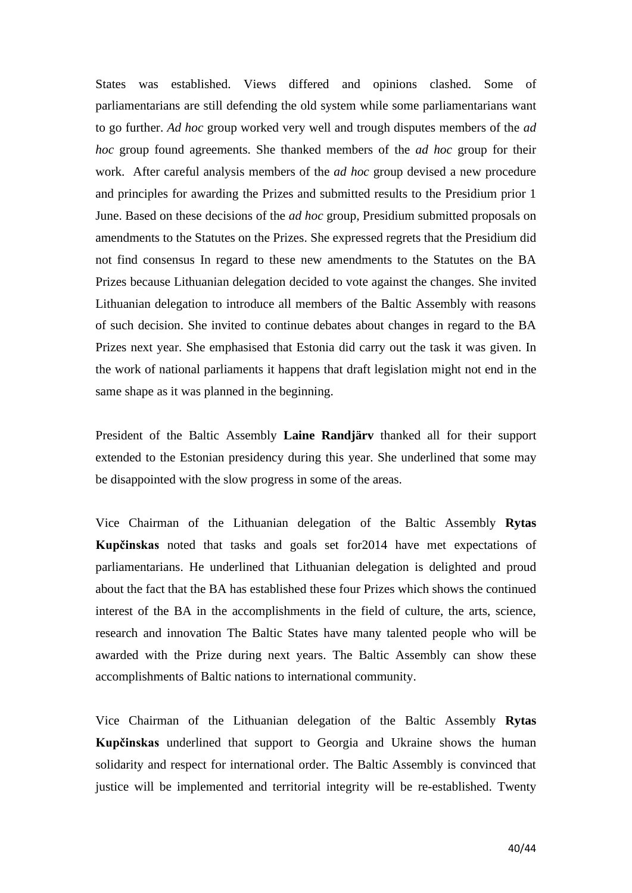States was established. Views differed and opinions clashed. Some of parliamentarians are still defending the old system while some parliamentarians want to go further. *Ad hoc* group worked very well and trough disputes members of the *ad hoc* group found agreements. She thanked members of the *ad hoc* group for their work. After careful analysis members of the *ad hoc* group devised a new procedure and principles for awarding the Prizes and submitted results to the Presidium prior 1 June. Based on these decisions of the *ad hoc* group, Presidium submitted proposals on amendments to the Statutes on the Prizes. She expressed regrets that the Presidium did not find consensus In regard to these new amendments to the Statutes on the BA Prizes because Lithuanian delegation decided to vote against the changes. She invited Lithuanian delegation to introduce all members of the Baltic Assembly with reasons of such decision. She invited to continue debates about changes in regard to the BA Prizes next year. She emphasised that Estonia did carry out the task it was given. In the work of national parliaments it happens that draft legislation might not end in the same shape as it was planned in the beginning.

President of the Baltic Assembly **Laine Randjärv** thanked all for their support extended to the Estonian presidency during this year. She underlined that some may be disappointed with the slow progress in some of the areas.

Vice Chairman of the Lithuanian delegation of the Baltic Assembly **Rytas Kupčinskas** noted that tasks and goals set for2014 have met expectations of parliamentarians. He underlined that Lithuanian delegation is delighted and proud about the fact that the BA has established these four Prizes which shows the continued interest of the BA in the accomplishments in the field of culture, the arts, science, research and innovation The Baltic States have many talented people who will be awarded with the Prize during next years. The Baltic Assembly can show these accomplishments of Baltic nations to international community.

Vice Chairman of the Lithuanian delegation of the Baltic Assembly **Rytas Kupčinskas** underlined that support to Georgia and Ukraine shows the human solidarity and respect for international order. The Baltic Assembly is convinced that justice will be implemented and territorial integrity will be re-established. Twenty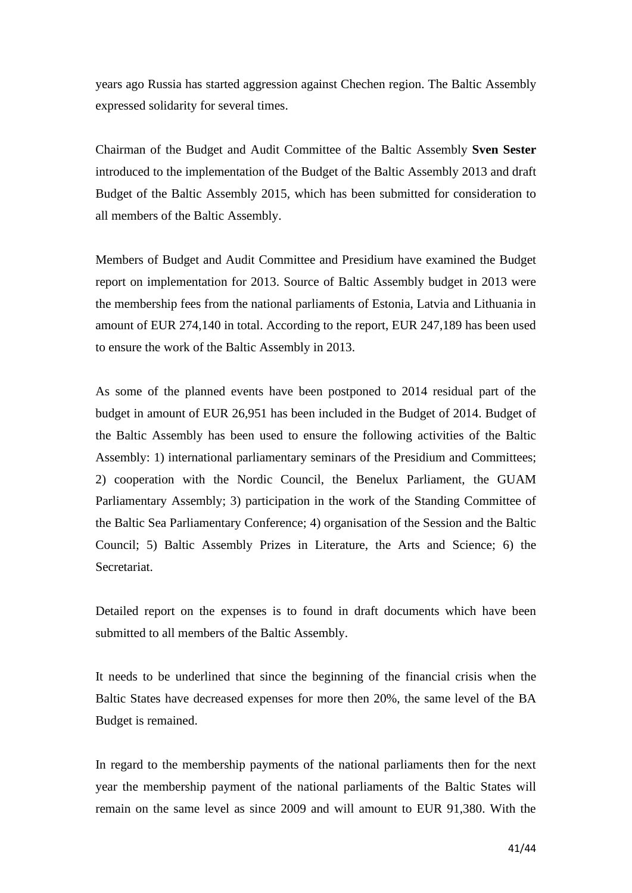years ago Russia has started aggression against Chechen region. The Baltic Assembly expressed solidarity for several times.

Chairman of the Budget and Audit Committee of the Baltic Assembly **Sven Sester** introduced to the implementation of the Budget of the Baltic Assembly 2013 and draft Budget of the Baltic Assembly 2015, which has been submitted for consideration to all members of the Baltic Assembly.

Members of Budget and Audit Committee and Presidium have examined the Budget report on implementation for 2013. Source of Baltic Assembly budget in 2013 were the membership fees from the national parliaments of Estonia, Latvia and Lithuania in amount of EUR 274,140 in total. According to the report, EUR 247,189 has been used to ensure the work of the Baltic Assembly in 2013.

As some of the planned events have been postponed to 2014 residual part of the budget in amount of EUR 26,951 has been included in the Budget of 2014. Budget of the Baltic Assembly has been used to ensure the following activities of the Baltic Assembly: 1) international parliamentary seminars of the Presidium and Committees; 2) cooperation with the Nordic Council, the Benelux Parliament, the GUAM Parliamentary Assembly; 3) participation in the work of the Standing Committee of the Baltic Sea Parliamentary Conference; 4) organisation of the Session and the Baltic Council; 5) Baltic Assembly Prizes in Literature, the Arts and Science; 6) the Secretariat.

Detailed report on the expenses is to found in draft documents which have been submitted to all members of the Baltic Assembly.

It needs to be underlined that since the beginning of the financial crisis when the Baltic States have decreased expenses for more then 20%, the same level of the BA Budget is remained.

In regard to the membership payments of the national parliaments then for the next year the membership payment of the national parliaments of the Baltic States will remain on the same level as since 2009 and will amount to EUR 91,380. With the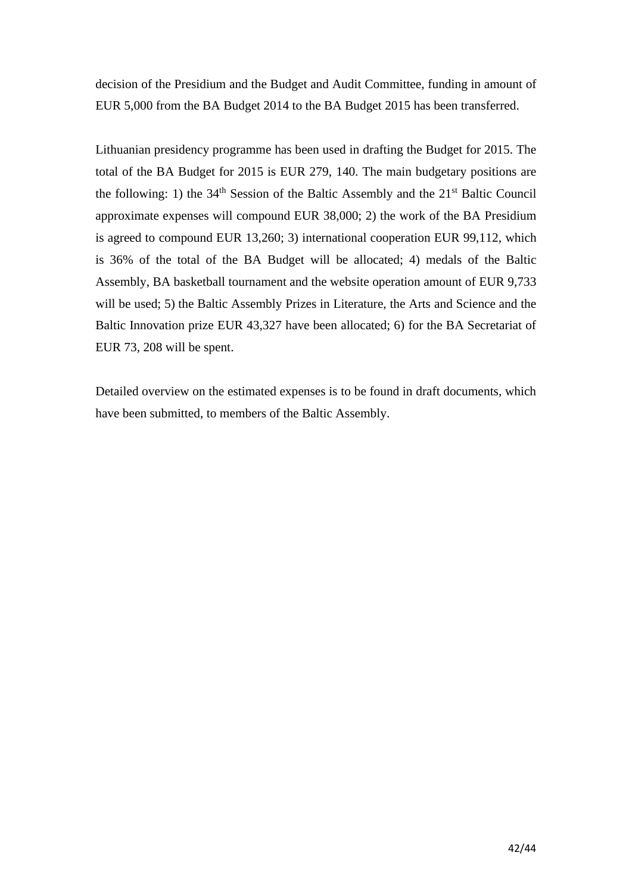decision of the Presidium and the Budget and Audit Committee, funding in amount of EUR 5,000 from the BA Budget 2014 to the BA Budget 2015 has been transferred.

Lithuanian presidency programme has been used in drafting the Budget for 2015. The total of the BA Budget for 2015 is EUR 279, 140. The main budgetary positions are the following: 1) the  $34<sup>th</sup>$  Session of the Baltic Assembly and the  $21<sup>st</sup>$  Baltic Council approximate expenses will compound EUR 38,000; 2) the work of the BA Presidium is agreed to compound EUR 13,260; 3) international cooperation EUR 99,112, which is 36% of the total of the BA Budget will be allocated; 4) medals of the Baltic Assembly, BA basketball tournament and the website operation amount of EUR 9,733 will be used; 5) the Baltic Assembly Prizes in Literature, the Arts and Science and the Baltic Innovation prize EUR 43,327 have been allocated; 6) for the BA Secretariat of EUR 73, 208 will be spent.

Detailed overview on the estimated expenses is to be found in draft documents, which have been submitted, to members of the Baltic Assembly.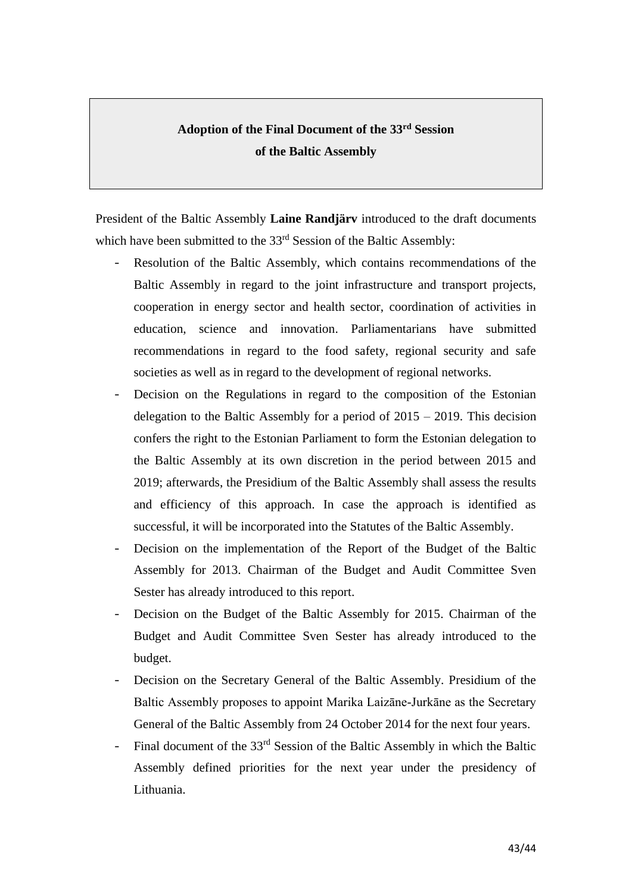# **Adoption of the Final Document of the 33rd Session of the Baltic Assembly**

President of the Baltic Assembly **Laine Randjärv** introduced to the draft documents which have been submitted to the 33<sup>rd</sup> Session of the Baltic Assembly:

- Resolution of the Baltic Assembly, which contains recommendations of the Baltic Assembly in regard to the joint infrastructure and transport projects, cooperation in energy sector and health sector, coordination of activities in education, science and innovation. Parliamentarians have submitted recommendations in regard to the food safety, regional security and safe societies as well as in regard to the development of regional networks.
- Decision on the Regulations in regard to the composition of the Estonian delegation to the Baltic Assembly for a period of 2015 – 2019. This decision confers the right to the Estonian Parliament to form the Estonian delegation to the Baltic Assembly at its own discretion in the period between 2015 and 2019; afterwards, the Presidium of the Baltic Assembly shall assess the results and efficiency of this approach. In case the approach is identified as successful, it will be incorporated into the Statutes of the Baltic Assembly.
- Decision on the implementation of the Report of the Budget of the Baltic Assembly for 2013. Chairman of the Budget and Audit Committee Sven Sester has already introduced to this report.
- Decision on the Budget of the Baltic Assembly for 2015. Chairman of the Budget and Audit Committee Sven Sester has already introduced to the budget.
- Decision on the Secretary General of the Baltic Assembly. Presidium of the Baltic Assembly proposes to appoint Marika Laizāne-Jurkāne as the Secretary General of the Baltic Assembly from 24 October 2014 for the next four years.
- Final document of the  $33<sup>rd</sup>$  Session of the Baltic Assembly in which the Baltic Assembly defined priorities for the next year under the presidency of Lithuania.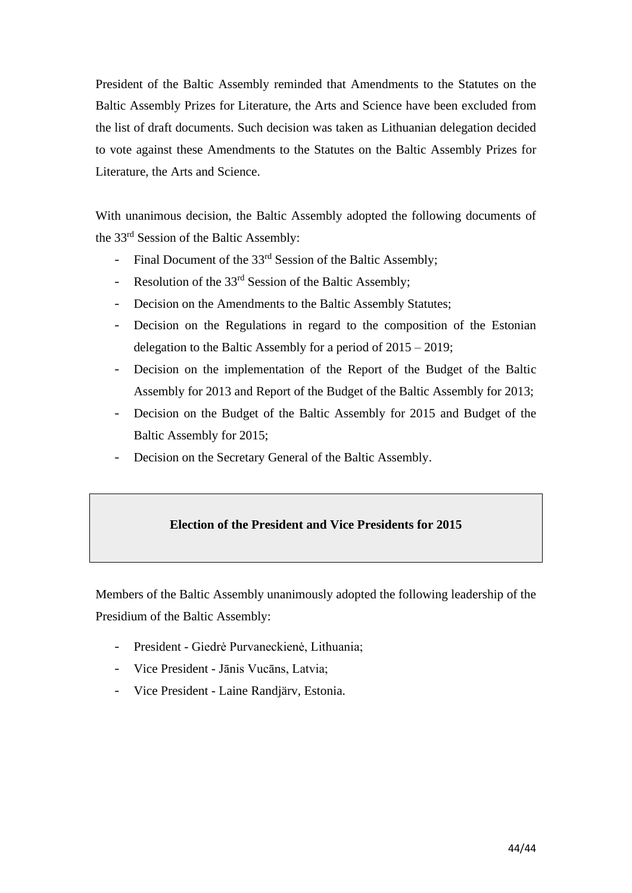President of the Baltic Assembly reminded that Amendments to the Statutes on the Baltic Assembly Prizes for Literature, the Arts and Science have been excluded from the list of draft documents. Such decision was taken as Lithuanian delegation decided to vote against these Amendments to the Statutes on the Baltic Assembly Prizes for Literature, the Arts and Science.

With unanimous decision, the Baltic Assembly adopted the following documents of the 33rd Session of the Baltic Assembly:

- Final Document of the 33<sup>rd</sup> Session of the Baltic Assembly:
- Resolution of the 33<sup>rd</sup> Session of the Baltic Assembly;
- Decision on the Amendments to the Baltic Assembly Statutes;
- Decision on the Regulations in regard to the composition of the Estonian delegation to the Baltic Assembly for a period of 2015 – 2019;
- Decision on the implementation of the Report of the Budget of the Baltic Assembly for 2013 and Report of the Budget of the Baltic Assembly for 2013;
- Decision on the Budget of the Baltic Assembly for 2015 and Budget of the Baltic Assembly for 2015;
- Decision on the Secretary General of the Baltic Assembly.

## **Election of the President and Vice Presidents for 2015**

Members of the Baltic Assembly unanimously adopted the following leadership of the Presidium of the Baltic Assembly:

- President Giedrė Purvaneckienė, Lithuania;
- Vice President Jānis Vucāns, Latvia;
- Vice President Laine Randjärv, Estonia.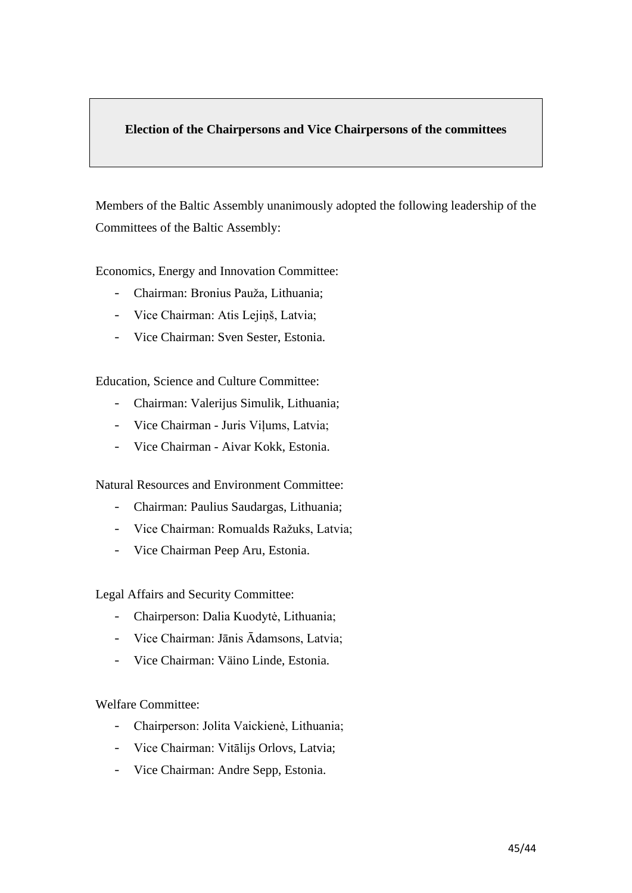### **Election of the Chairpersons and Vice Chairpersons of the committees**

Members of the Baltic Assembly unanimously adopted the following leadership of the Committees of the Baltic Assembly:

Economics, Energy and Innovation Committee:

- Chairman: Bronius Pauža, Lithuania;
- Vice Chairman: Atis Lejiņš, Latvia;
- Vice Chairman: Sven Sester, Estonia.

Education, Science and Culture Committee:

- Chairman: Valerijus Simulik, Lithuania;
- Vice Chairman Juris Viļums, Latvia;
- Vice Chairman Aivar Kokk, Estonia.

Natural Resources and Environment Committee:

- Chairman: Paulius Saudargas, Lithuania;
- Vice Chairman: Romualds Ražuks, Latvia;
- Vice Chairman Peep Aru, Estonia.

Legal Affairs and Security Committee:

- Chairperson: Dalia Kuodytė, Lithuania;
- Vice Chairman: Jānis Ādamsons, Latvia;
- Vice Chairman: Väino Linde, Estonia.

Welfare Committee:

- Chairperson: Jolita Vaickienė, Lithuania;
- Vice Chairman: Vitālijs Orlovs, Latvia;
- Vice Chairman: Andre Sepp, Estonia.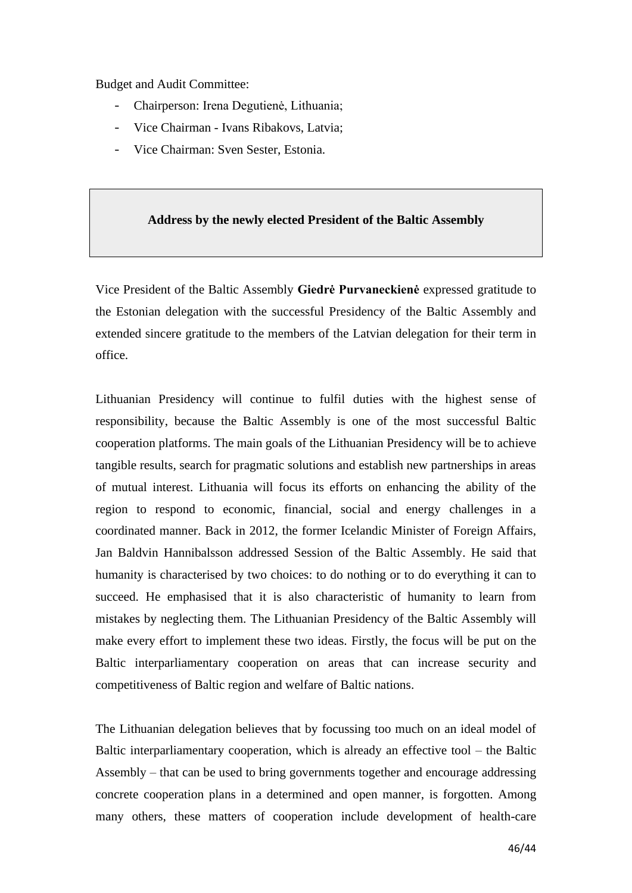Budget and Audit Committee:

- Chairperson: Irena Degutienė, Lithuania;
- Vice Chairman Ivans Ribakovs, Latvia;
- Vice Chairman: Sven Sester, Estonia.

#### **Address by the newly elected President of the Baltic Assembly**

Vice President of the Baltic Assembly **Giedrė Purvaneckienė** expressed gratitude to the Estonian delegation with the successful Presidency of the Baltic Assembly and extended sincere gratitude to the members of the Latvian delegation for their term in office.

Lithuanian Presidency will continue to fulfil duties with the highest sense of responsibility, because the Baltic Assembly is one of the most successful Baltic cooperation platforms. The main goals of the Lithuanian Presidency will be to achieve tangible results, search for pragmatic solutions and establish new partnerships in areas of mutual interest. Lithuania will focus its efforts on enhancing the ability of the region to respond to economic, financial, social and energy challenges in a coordinated manner. Back in 2012, the former Icelandic Minister of Foreign Affairs, Jan Baldvin Hannibalsson addressed Session of the Baltic Assembly. He said that humanity is characterised by two choices: to do nothing or to do everything it can to succeed. He emphasised that it is also characteristic of humanity to learn from mistakes by neglecting them. The Lithuanian Presidency of the Baltic Assembly will make every effort to implement these two ideas. Firstly, the focus will be put on the Baltic interparliamentary cooperation on areas that can increase security and competitiveness of Baltic region and welfare of Baltic nations.

The Lithuanian delegation believes that by focussing too much on an ideal model of Baltic interparliamentary cooperation, which is already an effective tool – the Baltic Assembly – that can be used to bring governments together and encourage addressing concrete cooperation plans in a determined and open manner, is forgotten. Among many others, these matters of cooperation include development of health-care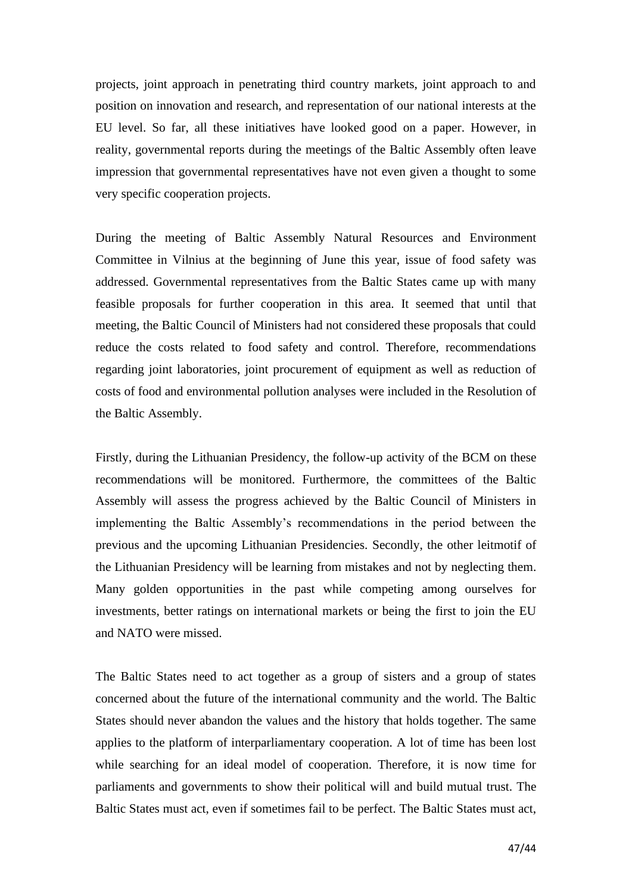projects, joint approach in penetrating third country markets, joint approach to and position on innovation and research, and representation of our national interests at the EU level. So far, all these initiatives have looked good on a paper. However, in reality, governmental reports during the meetings of the Baltic Assembly often leave impression that governmental representatives have not even given a thought to some very specific cooperation projects.

During the meeting of Baltic Assembly Natural Resources and Environment Committee in Vilnius at the beginning of June this year, issue of food safety was addressed. Governmental representatives from the Baltic States came up with many feasible proposals for further cooperation in this area. It seemed that until that meeting, the Baltic Council of Ministers had not considered these proposals that could reduce the costs related to food safety and control. Therefore, recommendations regarding joint laboratories, joint procurement of equipment as well as reduction of costs of food and environmental pollution analyses were included in the Resolution of the Baltic Assembly.

Firstly, during the Lithuanian Presidency, the follow-up activity of the BCM on these recommendations will be monitored. Furthermore, the committees of the Baltic Assembly will assess the progress achieved by the Baltic Council of Ministers in implementing the Baltic Assembly's recommendations in the period between the previous and the upcoming Lithuanian Presidencies. Secondly, the other leitmotif of the Lithuanian Presidency will be learning from mistakes and not by neglecting them. Many golden opportunities in the past while competing among ourselves for investments, better ratings on international markets or being the first to join the EU and NATO were missed.

The Baltic States need to act together as a group of sisters and a group of states concerned about the future of the international community and the world. The Baltic States should never abandon the values and the history that holds together. The same applies to the platform of interparliamentary cooperation. A lot of time has been lost while searching for an ideal model of cooperation. Therefore, it is now time for parliaments and governments to show their political will and build mutual trust. The Baltic States must act, even if sometimes fail to be perfect. The Baltic States must act,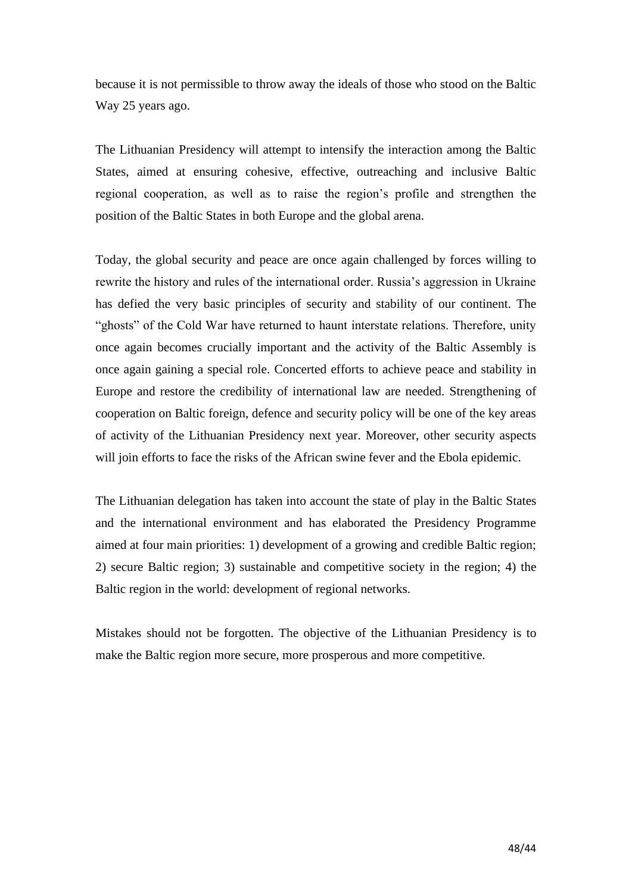because it is not permissible to throw away the ideals of those who stood on the Baltic Way 25 years ago.

The Lithuanian Presidency will attempt to intensify the interaction among the Baltic States, aimed at ensuring cohesive, effective, outreaching and inclusive Baltic regional cooperation, as well as to raise the region's profile and strengthen the position of the Baltic States in both Europe and the global arena.

Today, the global security and peace are once again challenged by forces willing to rewrite the history and rules of the international order. Russia's aggression in Ukraine has defied the very basic principles of security and stability of our continent. The "ghosts" of the Cold War have returned to haunt interstate relations. Therefore, unity once again becomes crucially important and the activity of the Baltic Assembly is once again gaining a special role. Concerted efforts to achieve peace and stability in Europe and restore the credibility of international law are needed. Strengthening of cooperation on Baltic foreign, defence and security policy will be one of the key areas of activity of the Lithuanian Presidency next year. Moreover, other security aspects will join efforts to face the risks of the African swine fever and the Ebola epidemic.

The Lithuanian delegation has taken into account the state of play in the Baltic States and the international environment and has elaborated the Presidency Programme aimed at four main priorities: 1) development of a growing and credible Baltic region; 2) secure Baltic region; 3) sustainable and competitive society in the region; 4) the Baltic region in the world: development of regional networks.

Mistakes should not be forgotten. The objective of the Lithuanian Presidency is to make the Baltic region more secure, more prosperous and more competitive.